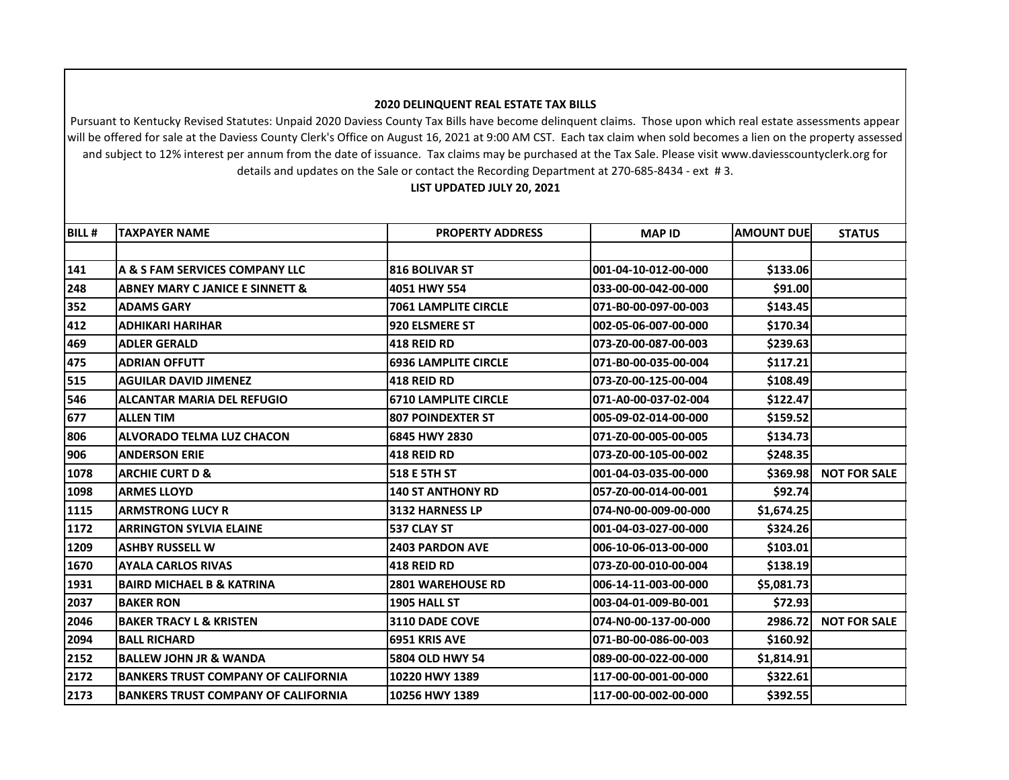## **2020 DELINQUENT REAL ESTATE TAX BILLS**

Pursuant to Kentucky Revised Statutes: Unpaid 2020 Daviess County Tax Bills have become delinquent claims. Those upon which real estate assessments appear will be offered for sale at the Daviess County Clerk's Office on August 16, 2021 at 9:00 AM CST. Each tax claim when sold becomes a lien on the property assessed and subject to 12% interest per annum from the date of issuance. Tax claims may be purchased at the Tax Sale. Please visit www.daviesscountyclerk.org for details and updates on the Sale or contact the Recording Department at 270-685-8434 - ext # 3.

## **LIST UPDATED JULY 20, 2021**

| <b>BILL#</b> | <b>TAXPAYER NAME</b>                       | <b>PROPERTY ADDRESS</b>     | <b>MAP ID</b>        | <b>AMOUNT DUE</b> | <b>STATUS</b>       |
|--------------|--------------------------------------------|-----------------------------|----------------------|-------------------|---------------------|
|              |                                            |                             |                      |                   |                     |
| 141          | A & S FAM SERVICES COMPANY LLC             | <b>816 BOLIVAR ST</b>       | 001-04-10-012-00-000 | \$133.06          |                     |
| 248          | <b>ABNEY MARY C JANICE E SINNETT &amp;</b> | 4051 HWY 554                | 033-00-00-042-00-000 | \$91.00           |                     |
| 352          | <b>ADAMS GARY</b>                          | <b>7061 LAMPLITE CIRCLE</b> | 071-B0-00-097-00-003 | \$143.45          |                     |
| 412          | <b>ADHIKARI HARIHAR</b>                    | 920 ELSMERE ST              | 002-05-06-007-00-000 | \$170.34          |                     |
| 469          | <b>ADLER GERALD</b>                        | <b>418 REID RD</b>          | 073-Z0-00-087-00-003 | \$239.63          |                     |
| 475          | <b>ADRIAN OFFUTT</b>                       | <b>6936 LAMPLITE CIRCLE</b> | 071-B0-00-035-00-004 | \$117.21          |                     |
| 515          | <b>AGUILAR DAVID JIMENEZ</b>               | 418 REID RD                 | 073-Z0-00-125-00-004 | \$108.49          |                     |
| 546          | <b>ALCANTAR MARIA DEL REFUGIO</b>          | <b>6710 LAMPLITE CIRCLE</b> | 071-A0-00-037-02-004 | \$122.47          |                     |
| 677          | <b>ALLEN TIM</b>                           | <b>807 POINDEXTER ST</b>    | 005-09-02-014-00-000 | \$159.52          |                     |
| 806          | <b>ALVORADO TELMA LUZ CHACON</b>           | 6845 HWY 2830               | 071-Z0-00-005-00-005 | \$134.73          |                     |
| 906          | <b>ANDERSON ERIE</b>                       | <b>418 REID RD</b>          | 073-Z0-00-105-00-002 | \$248.35          |                     |
| 1078         | <b>ARCHIE CURT D &amp;</b>                 | 518 E 5TH ST                | 001-04-03-035-00-000 | \$369.98          | <b>NOT FOR SALE</b> |
| 1098         | <b>ARMES LLOYD</b>                         | <b>140 ST ANTHONY RD</b>    | 057-Z0-00-014-00-001 | \$92.74           |                     |
| 1115         | <b>ARMSTRONG LUCY R</b>                    | 3132 HARNESS LP             | 074-N0-00-009-00-000 | \$1,674.25        |                     |
| 1172         | <b>ARRINGTON SYLVIA ELAINE</b>             | 537 CLAY ST                 | 001-04-03-027-00-000 | \$324.26          |                     |
| 1209         | <b>ASHBY RUSSELL W</b>                     | <b>2403 PARDON AVE</b>      | 006-10-06-013-00-000 | \$103.01          |                     |
| 1670         | <b>AYALA CARLOS RIVAS</b>                  | 418 REID RD                 | 073-Z0-00-010-00-004 | \$138.19          |                     |
| 1931         | <b>BAIRD MICHAEL B &amp; KATRINA</b>       | <b>2801 WAREHOUSE RD</b>    | 006-14-11-003-00-000 | \$5,081.73        |                     |
| 2037         | <b>BAKER RON</b>                           | 1905 HALL ST                | 003-04-01-009-B0-001 | \$72.93           |                     |
| 2046         | <b>BAKER TRACY L &amp; KRISTEN</b>         | <b>3110 DADE COVE</b>       | 074-N0-00-137-00-000 | 2986.72           | <b>NOT FOR SALE</b> |
| 2094         | <b>BALL RICHARD</b>                        | <b>6951 KRIS AVE</b>        | 071-B0-00-086-00-003 | \$160.92          |                     |
| 2152         | <b>BALLEW JOHN JR &amp; WANDA</b>          | 5804 OLD HWY 54             | 089-00-00-022-00-000 | \$1,814.91        |                     |
| 2172         | <b>BANKERS TRUST COMPANY OF CALIFORNIA</b> | 10220 HWY 1389              | 117-00-00-001-00-000 | \$322.61          |                     |
| 2173         | <b>BANKERS TRUST COMPANY OF CALIFORNIA</b> | 10256 HWY 1389              | 117-00-00-002-00-000 | \$392.55          |                     |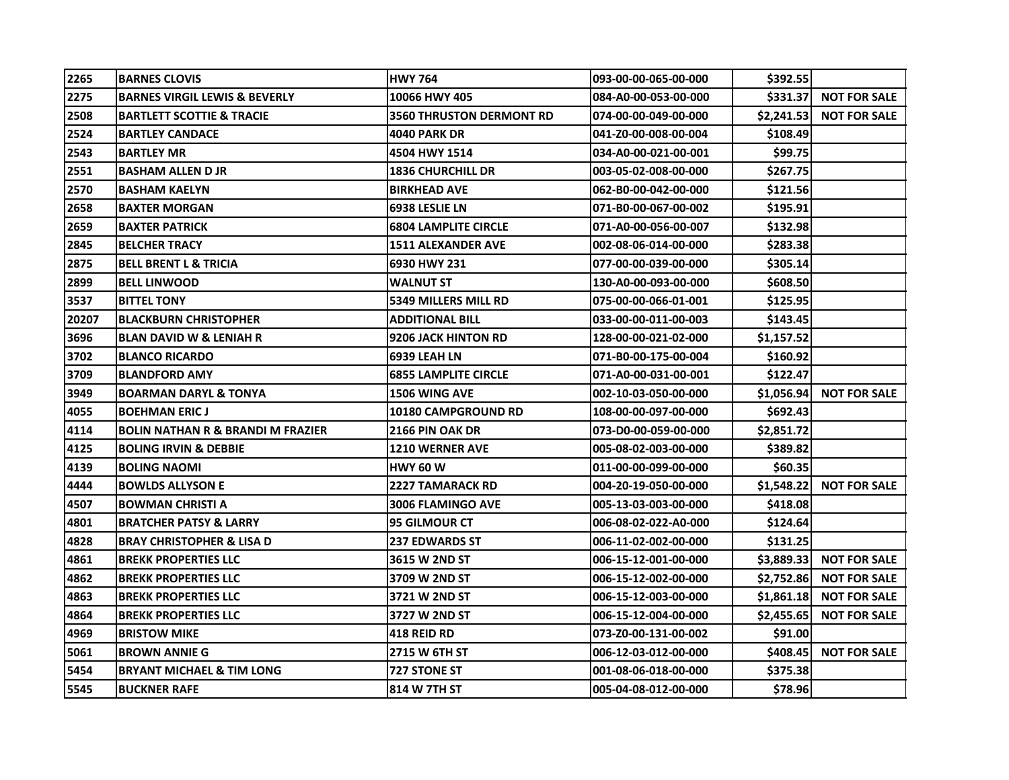| 2265  | <b>IBARNES CLOVIS</b>                        | <b>HWY 764</b>                  | 093-00-00-065-00-000 | \$392.55   |                          |
|-------|----------------------------------------------|---------------------------------|----------------------|------------|--------------------------|
| 2275  | BARNES VIRGIL LEWIS & BEVERLY                | 10066 HWY 405                   | 084-A0-00-053-00-000 | \$331.37   | <b>NOT FOR SALE</b>      |
| 2508  | <b>BARTLETT SCOTTIE &amp; TRACIE</b>         | <b>3560 THRUSTON DERMONT RD</b> | 074-00-00-049-00-000 | \$2,241.53 | <b>NOT FOR SALE</b>      |
| 2524  | <b>BARTLEY CANDACE</b>                       | <b>4040 PARK DR</b>             | 041-Z0-00-008-00-004 | \$108.49   |                          |
| 2543  | <b>BARTLEY MR</b>                            | 4504 HWY 1514                   | 034-A0-00-021-00-001 | \$99.75    |                          |
| 2551  | <b>BASHAM ALLEN D JR</b>                     | <b>1836 CHURCHILL DR</b>        | 003-05-02-008-00-000 | \$267.75   |                          |
| 2570  | <b>BASHAM KAELYN</b>                         | <b>BIRKHEAD AVE</b>             | 062-B0-00-042-00-000 | \$121.56   |                          |
| 2658  | <b>BAXTER MORGAN</b>                         | <b>6938 LESLIE LN</b>           | 071-B0-00-067-00-002 | \$195.91   |                          |
| 2659  | <b>BAXTER PATRICK</b>                        | <b>6804 LAMPLITE CIRCLE</b>     | 071-A0-00-056-00-007 | \$132.98   |                          |
| 2845  | <b>BELCHER TRACY</b>                         | <b>1511 ALEXANDER AVE</b>       | 002-08-06-014-00-000 | \$283.38   |                          |
| 2875  | <b>BELL BRENT L &amp; TRICIA</b>             | 6930 HWY 231                    | 077-00-00-039-00-000 | \$305.14   |                          |
| 2899  | <b>BELL LINWOOD</b>                          | <b>WALNUT ST</b>                | 130-A0-00-093-00-000 | \$608.50   |                          |
| 3537  | <b>BITTEL TONY</b>                           | 5349 MILLERS MILL RD            | 075-00-00-066-01-001 | \$125.95   |                          |
| 20207 | <b>BLACKBURN CHRISTOPHER</b>                 | <b>ADDITIONAL BILL</b>          | 033-00-00-011-00-003 | \$143.45   |                          |
| 3696  | <b>BLAN DAVID W &amp; LENIAH R</b>           | 9206 JACK HINTON RD             | 128-00-00-021-02-000 | \$1,157.52 |                          |
| 3702  | <b>BLANCO RICARDO</b>                        | <b>6939 LEAH LN</b>             | 071-B0-00-175-00-004 | \$160.92   |                          |
| 3709  | <b>BLANDFORD AMY</b>                         | <b>6855 LAMPLITE CIRCLE</b>     | 071-A0-00-031-00-001 | \$122.47   |                          |
| 3949  | <b>BOARMAN DARYL &amp; TONYA</b>             | <b>1506 WING AVE</b>            | 002-10-03-050-00-000 | \$1,056.94 | <b>NOT FOR SALE</b>      |
| 4055  | <b>BOEHMAN ERIC J</b>                        | <b>10180 CAMPGROUND RD</b>      | 108-00-00-097-00-000 | \$692.43   |                          |
| 4114  | <b>BOLIN NATHAN R &amp; BRANDI M FRAZIER</b> | <b>2166 PIN OAK DR</b>          | 073-D0-00-059-00-000 | \$2,851.72 |                          |
| 4125  | <b>BOLING IRVIN &amp; DEBBIE</b>             | <b>1210 WERNER AVE</b>          | 005-08-02-003-00-000 | \$389.82   |                          |
| 4139  | <b>BOLING NAOMI</b>                          | <b>HWY 60 W</b>                 | 011-00-00-099-00-000 | \$60.35    |                          |
| 4444  | <b>BOWLDS ALLYSON E</b>                      | <b>2227 TAMARACK RD</b>         | 004-20-19-050-00-000 |            | \$1,548.22 NOT FOR SALE  |
| 4507  | <b>BOWMAN CHRISTI A</b>                      | <b>3006 FLAMINGO AVE</b>        | 005-13-03-003-00-000 | \$418.08   |                          |
| 4801  | <b>BRATCHER PATSY &amp; LARRY</b>            | <b>95 GILMOUR CT</b>            | 006-08-02-022-A0-000 | \$124.64   |                          |
| 4828  | <b>BRAY CHRISTOPHER &amp; LISA D</b>         | <b>237 EDWARDS ST</b>           | 006-11-02-002-00-000 | \$131.25   |                          |
| 4861  | <b>BREKK PROPERTIES LLC</b>                  | 3615 W 2ND ST                   | 006-15-12-001-00-000 |            | \$3,889.33 NOT FOR SALE  |
| 4862  | <b>BREKK PROPERTIES LLC</b>                  | 3709 W 2ND ST                   | 006-15-12-002-00-000 | \$2,752.86 | <b>NOT FOR SALE</b>      |
| 4863  | <b>BREKK PROPERTIES LLC</b>                  | <b>3721 W 2ND ST</b>            | 006-15-12-003-00-000 |            | $$1,861.18$ NOT FOR SALE |
| 4864  | <b>BREKK PROPERTIES LLC</b>                  | 3727 W 2ND ST                   | 006-15-12-004-00-000 | \$2,455.65 | <b>NOT FOR SALE</b>      |
| 4969  | <b>BRISTOW MIKE</b>                          | <b>418 REID RD</b>              | 073-Z0-00-131-00-002 | \$91.00    |                          |
| 5061  | <b>BROWN ANNIE G</b>                         | 2715 W 6TH ST                   | 006-12-03-012-00-000 | \$408.45   | <b>NOT FOR SALE</b>      |
| 5454  | <b>BRYANT MICHAEL &amp; TIM LONG</b>         | <b>727 STONE ST</b>             | 001-08-06-018-00-000 | \$375.38   |                          |
| 5545  | <b>BUCKNER RAFE</b>                          | 814 W 7TH ST                    | 005-04-08-012-00-000 | \$78.96    |                          |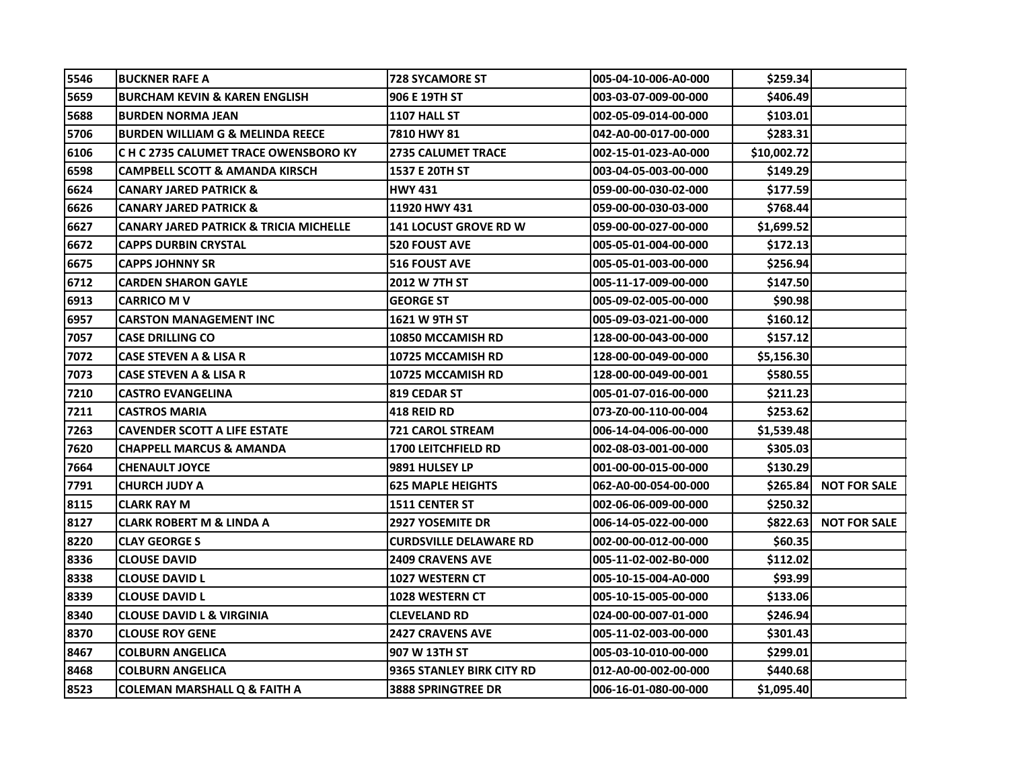| 5546 | <b>BUCKNER RAFE A</b>                             | <b>728 SYCAMORE ST</b>        | 005-04-10-006-A0-000 | \$259.34    |                     |
|------|---------------------------------------------------|-------------------------------|----------------------|-------------|---------------------|
| 5659 | <b>BURCHAM KEVIN &amp; KAREN ENGLISH</b>          | 906 E 19TH ST                 | 003-03-07-009-00-000 | \$406.49    |                     |
| 5688 | <b>BURDEN NORMA JEAN</b>                          | 1107 HALL ST                  | 002-05-09-014-00-000 | \$103.01    |                     |
| 5706 | <b>BURDEN WILLIAM G &amp; MELINDA REECE</b>       | 7810 HWY 81                   | 042-A0-00-017-00-000 | \$283.31    |                     |
| 6106 | C H C 2735 CALUMET TRACE OWENSBORO KY             | <b>2735 CALUMET TRACE</b>     | 002-15-01-023-A0-000 | \$10,002.72 |                     |
| 6598 | CAMPBELL SCOTT & AMANDA KIRSCH                    | <b>1537 E 20TH ST</b>         | 003-04-05-003-00-000 | \$149.291   |                     |
| 6624 | <b>CANARY JARED PATRICK &amp;</b>                 | <b>HWY 431</b>                | 059-00-00-030-02-000 | \$177.59    |                     |
| 6626 | <b>CANARY JARED PATRICK &amp;</b>                 | 11920 HWY 431                 | 059-00-00-030-03-000 | \$768.44    |                     |
| 6627 | <b>CANARY JARED PATRICK &amp; TRICIA MICHELLE</b> | <b>141 LOCUST GROVE RD W</b>  | 059-00-00-027-00-000 | \$1,699.52  |                     |
| 6672 | <b>CAPPS DURBIN CRYSTAL</b>                       | <b>520 FOUST AVE</b>          | 005-05-01-004-00-000 | \$172.13    |                     |
| 6675 | <b>CAPPS JOHNNY SR</b>                            | <b>516 FOUST AVE</b>          | 005-05-01-003-00-000 | \$256.94    |                     |
| 6712 | <b>CARDEN SHARON GAYLE</b>                        | 2012 W 7TH ST                 | 005-11-17-009-00-000 | \$147.50    |                     |
| 6913 | <b>CARRICO M V</b>                                | <b>GEORGE ST</b>              | 005-09-02-005-00-000 | \$90.98     |                     |
| 6957 | <b>CARSTON MANAGEMENT INC</b>                     | 1621 W 9TH ST                 | 005-09-03-021-00-000 | \$160.12    |                     |
| 7057 | <b>CASE DRILLING CO</b>                           | 10850 MCCAMISH RD             | 128-00-00-043-00-000 | \$157.12    |                     |
| 7072 | CASE STEVEN A & LISA R                            | <b>10725 MCCAMISH RD</b>      | 128-00-00-049-00-000 | S5,156.30I  |                     |
| 7073 | CASE STEVEN A & LISA R                            | 10725 MCCAMISH RD             | 128-00-00-049-00-001 | \$580.55    |                     |
| 7210 | <b>CASTRO EVANGELINA</b>                          | 819 CEDAR ST                  | 005-01-07-016-00-000 | \$211.23    |                     |
| 7211 | <b>CASTROS MARIA</b>                              | 418 REID RD                   | 073-Z0-00-110-00-004 | \$253.62    |                     |
| 7263 | <b>CAVENDER SCOTT A LIFE ESTATE</b>               | <b>721 CAROL STREAM</b>       | 006-14-04-006-00-000 | \$1,539.48  |                     |
| 7620 | <b>CHAPPELL MARCUS &amp; AMANDA</b>               | <b>1700 LEITCHFIELD RD</b>    | 002-08-03-001-00-000 | \$305.03    |                     |
| 7664 | <b>CHENAULT JOYCE</b>                             | 9891 HULSEY LP                | 001-00-00-015-00-000 | \$130.29    |                     |
| 7791 | <b>CHURCH JUDY A</b>                              | <b>625 MAPLE HEIGHTS</b>      | 062-A0-00-054-00-000 | \$265.84    | <b>NOT FOR SALE</b> |
| 8115 | <b>CLARK RAY M</b>                                | <b>1511 CENTER ST</b>         | 002-06-06-009-00-000 | \$250.32    |                     |
| 8127 | <b>CLARK ROBERT M &amp; LINDA A</b>               | <b>2927 YOSEMITE DR</b>       | 006-14-05-022-00-000 | \$822.63    | <b>NOT FOR SALE</b> |
| 8220 | <b>CLAY GEORGE S</b>                              | <b>CURDSVILLE DELAWARE RD</b> | 002-00-00-012-00-000 | \$60.35     |                     |
| 8336 | <b>CLOUSE DAVID</b>                               | <b>2409 CRAVENS AVE</b>       | 005-11-02-002-B0-000 | \$112.02    |                     |
| 8338 | <b>CLOUSE DAVID L</b>                             | 1027 WESTERN CT               | 005-10-15-004-A0-000 | \$93.99     |                     |
| 8339 | <b>CLOUSE DAVID L</b>                             | 1028 WESTERN CT               | 005-10-15-005-00-000 | \$133.06    |                     |
| 8340 | <b>CLOUSE DAVID L &amp; VIRGINIA</b>              | <b>CLEVELAND RD</b>           | 024-00-00-007-01-000 | \$246.94    |                     |
| 8370 | <b>CLOUSE ROY GENE</b>                            | <b>2427 CRAVENS AVE</b>       | 005-11-02-003-00-000 | \$301.43    |                     |
| 8467 | <b>COLBURN ANGELICA</b>                           | 907 W 13TH ST                 | 005-03-10-010-00-000 | \$299.01    |                     |
| 8468 | <b>COLBURN ANGELICA</b>                           | 9365 STANLEY BIRK CITY RD     | 012-A0-00-002-00-000 | \$440.68    |                     |
| 8523 | <b>COLEMAN MARSHALL Q &amp; FAITH A</b>           | <b>3888 SPRINGTREE DR</b>     | 006-16-01-080-00-000 | \$1,095.40  |                     |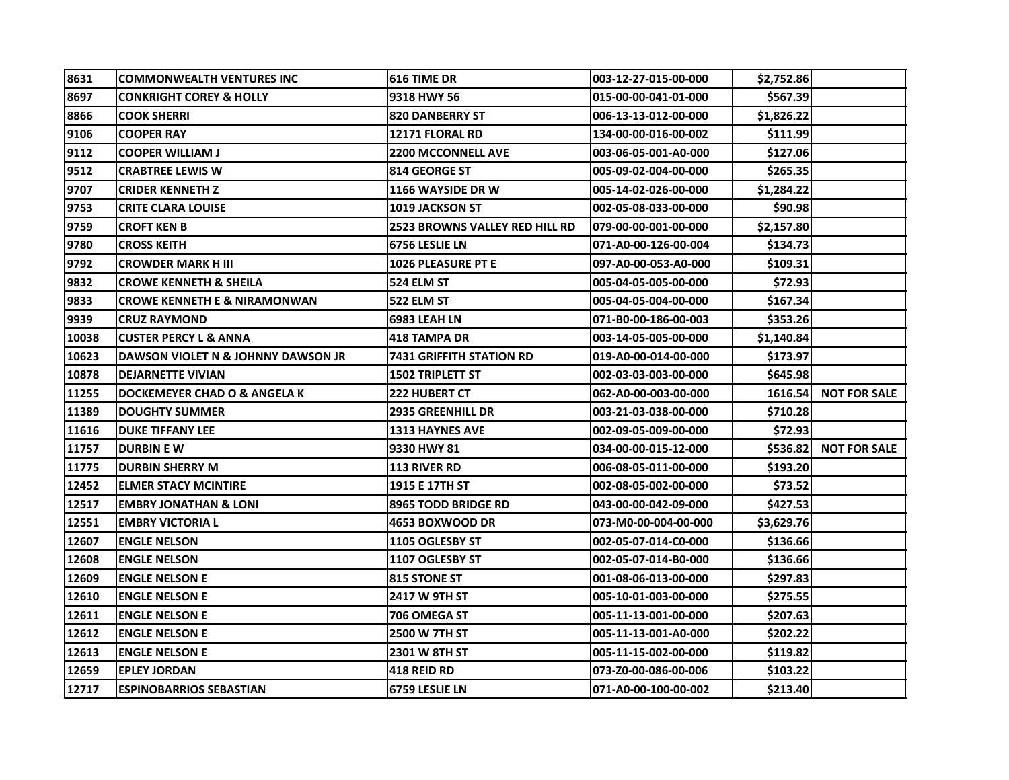| 8631  | <b>COMMONWEALTH VENTURES INC</b>        | 616 TIME DR                           | 003-12-27-015-00-000  | \$2,752.86     |                     |
|-------|-----------------------------------------|---------------------------------------|-----------------------|----------------|---------------------|
| 8697  | CONKRIGHT COREY & HOLLY                 | 9318 HWY 56                           | 015-00-00-041-01-000  | \$567.39       |                     |
| 8866  | <b>COOK SHERRI</b>                      | <b>820 DANBERRY ST</b>                | 006-13-13-012-00-000  | \$1,826.22     |                     |
| 9106  | <b>COOPER RAY</b>                       | <b>12171 FLORAL RD</b>                | 134-00-00-016-00-002  | \$111.99       |                     |
| 9112  | <b>COOPER WILLIAM J</b>                 | <b>2200 MCCONNELL AVE</b>             | 003-06-05-001-A0-000  | \$127.06       |                     |
| 9512  | <b>CRABTREE LEWIS W</b>                 | <b>814 GEORGE ST</b>                  | 005-09-02-004-00-000  | \$265.35       |                     |
| 9707  | <b>CRIDER KENNETH Z</b>                 | 1166 WAYSIDE DR W                     | 005-14-02-026-00-000  | \$1,284.22     |                     |
| 9753  | <b>CRITE CLARA LOUISE</b>               | <b>1019 JACKSON ST</b>                | 002-05-08-033-00-000  | \$90.98        |                     |
| 9759  | CROFT KEN B                             | <b>2523 BROWNS VALLEY RED HILL RD</b> | l079-00-00-001-00-000 | \$2,157.80     |                     |
| 9780  | CROSS KEITH                             | 6756 LESLIE LN                        | 071-A0-00-126-00-004  | \$134.73       |                     |
| 9792  | <b>CROWDER MARK H III</b>               | <b>1026 PLEASURE PT E</b>             | 097-A0-00-053-A0-000  | \$109.31       |                     |
| 9832  | <b>CROWE KENNETH &amp; SHEILA</b>       | 524 ELM ST                            | 005-04-05-005-00-000  | \$72.93        |                     |
| 9833  | <b>CROWE KENNETH E &amp; NIRAMONWAN</b> | 522 ELM ST                            | 005-04-05-004-00-000  | \$167.34       |                     |
| 9939  | <b>CRUZ RAYMOND</b>                     | <b>6983 LEAH LN</b>                   | 071-B0-00-186-00-003  | \$353.26       |                     |
| 10038 | <b>CUSTER PERCY L &amp; ANNA</b>        | <b>418 TAMPA DR</b>                   | 003-14-05-005-00-000  | \$1,140.84     |                     |
| 10623 | DAWSON VIOLET N & JOHNNY DAWSON JR      | <b>7431 GRIFFITH STATION RD</b>       | 019-A0-00-014-00-000  | \$173.97       |                     |
| 10878 | <b>DEJARNETTE VIVIAN</b>                | <b>1502 TRIPLETT ST</b>               | 002-03-03-003-00-000  | \$645.98       |                     |
| 11255 | DOCKEMEYER CHAD O & ANGELA K            | <b>222 HUBERT CT</b>                  | 062-A0-00-003-00-000  | 1616.54        | <b>NOT FOR SALE</b> |
| 11389 | <b>DOUGHTY SUMMER</b>                   | <b>2935 GREENHILL DR</b>              | 003-21-03-038-00-000  | \$710.28       |                     |
| 11616 | <b>DUKE TIFFANY LEE</b>                 | <b>1313 HAYNES AVE</b>                | 002-09-05-009-00-000  | \$72.93        |                     |
| 11757 | <b>DURBIN E W</b>                       | 9330 HWY 81                           | 034-00-00-015-12-000  | \$536.82       | <b>NOT FOR SALE</b> |
| 11775 | <b>DURBIN SHERRY M</b>                  | <b>113 RIVER RD</b>                   | 006-08-05-011-00-000  | \$193.20       |                     |
| 12452 | <b>ELMER STACY MCINTIRE</b>             | <b>1915 E 17TH ST</b>                 | 002-08-05-002-00-000  | \$73.52        |                     |
| 12517 | <b>EMBRY JONATHAN &amp; LONI</b>        | <b>8965 TODD BRIDGE RD</b>            | 043-00-00-042-09-000  | \$427.53       |                     |
| 12551 | <b>EMBRY VICTORIA L</b>                 | 4653 BOXWOOD DR                       | 073-M0-00-004-00-000  | \$3,629.761    |                     |
| 12607 | <b>ENGLE NELSON</b>                     | 1105 OGLESBY ST                       | 002-05-07-014-C0-000  | \$136.66       |                     |
| 12608 | <b>ENGLE NELSON</b>                     | 1107 OGLESBY ST                       | 002-05-07-014-B0-000  | \$136.66       |                     |
| 12609 | <b>ENGLE NELSON E</b>                   | <b>815 STONE ST</b>                   | 001-08-06-013-00-000  | \$297.83       |                     |
| 12610 | <b>ENGLE NELSON E</b>                   | 2417 W 9TH ST                         | 005-10-01-003-00-000  | \$275.55       |                     |
| 12611 | <b>ENGLE NELSON E</b>                   | 706 OMEGA ST                          | 005-11-13-001-00-000  | \$207.63       |                     |
| 12612 | <b>ENGLE NELSON E</b>                   | <b>2500 W 7TH ST</b>                  | 005-11-13-001-A0-000  | \$202.22       |                     |
| 12613 | <b>ENGLE NELSON E</b>                   | <b>2301 W 8TH ST</b>                  | 005-11-15-002-00-000  | \$119.82       |                     |
| 12659 | <b>EPLEY JORDAN</b>                     | 418 REID RD                           | 073-Z0-00-086-00-006  | \$103.22       |                     |
| 12717 | <b>ESPINOBARRIOS SEBASTIAN</b>          | 6759 LESLIE LN                        | 071-A0-00-100-00-002  | <b>S213.40</b> |                     |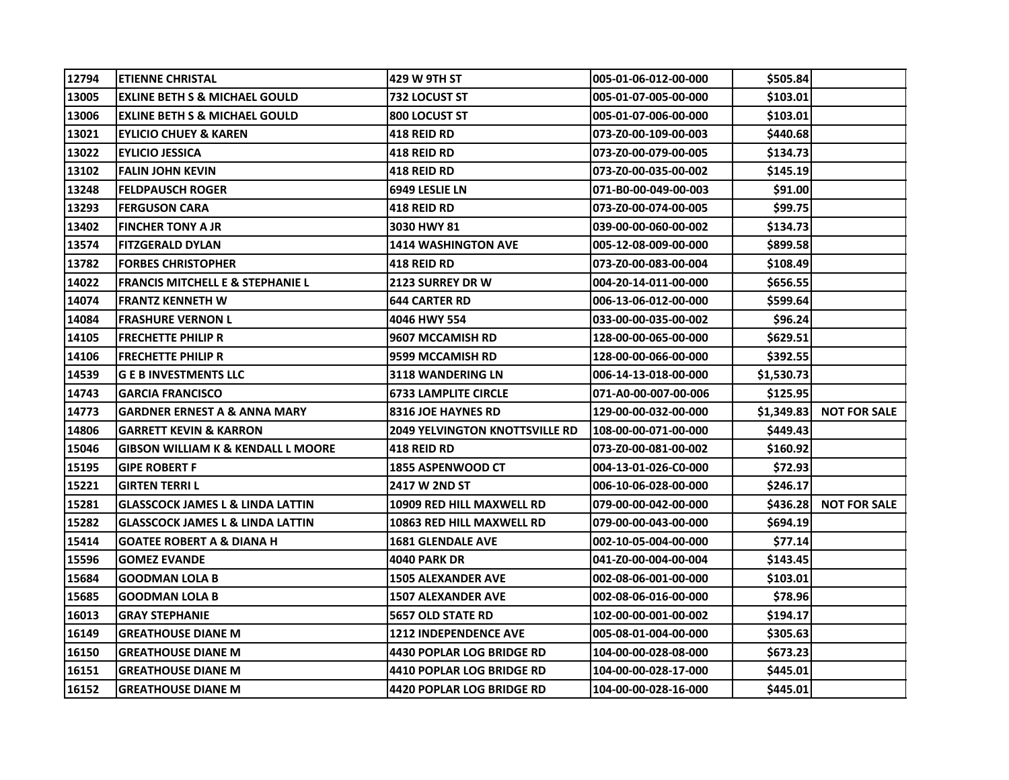| 12794 | <b>ETIENNE CHRISTAL</b>                       | 429 W 9TH ST                          | 005-01-06-012-00-000 | \$505.84   |                     |
|-------|-----------------------------------------------|---------------------------------------|----------------------|------------|---------------------|
| 13005 | <b>EXLINE BETH S &amp; MICHAEL GOULD</b>      | 732 LOCUST ST                         | 005-01-07-005-00-000 | \$103.01   |                     |
| 13006 | <b>EXLINE BETH S &amp; MICHAEL GOULD</b>      | 800 LOCUST ST                         | 005-01-07-006-00-000 | \$103.01   |                     |
| 13021 | <b>EYLICIO CHUEY &amp; KAREN</b>              | <b>418 REID RD</b>                    | 073-Z0-00-109-00-003 | \$440.68   |                     |
| 13022 | <b>EYLICIO JESSICA</b>                        | 418 REID RD                           | 073-Z0-00-079-00-005 | \$134.73   |                     |
| 13102 | <b>FALIN JOHN KEVIN</b>                       | 418 REID RD                           | 073-Z0-00-035-00-002 | \$145.19   |                     |
| 13248 | <b>FELDPAUSCH ROGER</b>                       | 6949 LESLIE LN                        | 071-B0-00-049-00-003 | \$91.00    |                     |
| 13293 | <b>FERGUSON CARA</b>                          | <b>418 REID RD</b>                    | 073-Z0-00-074-00-005 | \$99.75    |                     |
| 13402 | <b>FINCHER TONY A JR</b>                      | 3030 HWY 81                           | 039-00-00-060-00-002 | \$134.73   |                     |
| 13574 | <b>FITZGERALD DYLAN</b>                       | 1414 WASHINGTON AVE                   | 005-12-08-009-00-000 | \$899.58   |                     |
| 13782 | <b>FORBES CHRISTOPHER</b>                     | 418 REID RD                           | 073-Z0-00-083-00-004 | \$108.49   |                     |
| 14022 | <b>FRANCIS MITCHELL E &amp; STEPHANIE L</b>   | <b>2123 SURREY DR W</b>               | 004-20-14-011-00-000 | \$656.55   |                     |
| 14074 | <b>FRANTZ KENNETH W</b>                       | <b>644 CARTER RD</b>                  | 006-13-06-012-00-000 | \$599.64   |                     |
| 14084 | <b>FRASHURE VERNON L</b>                      | 4046 HWY 554                          | 033-00-00-035-00-002 | \$96.24    |                     |
| 14105 | <b>FRECHETTE PHILIP R</b>                     | 9607 MCCAMISH RD                      | 128-00-00-065-00-000 | \$629.51   |                     |
| 14106 | <b>FRECHETTE PHILIP R</b>                     | 9599 MCCAMISH RD                      | 128-00-00-066-00-000 | \$392.55   |                     |
| 14539 | <b>G E B INVESTMENTS LLC</b>                  | 3118 WANDERING LN                     | 006-14-13-018-00-000 | \$1,530.73 |                     |
| 14743 | <b>GARCIA FRANCISCO</b>                       | <b>6733 LAMPLITE CIRCLE</b>           | 071-A0-00-007-00-006 | \$125.95   |                     |
| 14773 | <b>GARDNER ERNEST A &amp; ANNA MARY</b>       | <b>8316 JOE HAYNES RD</b>             | 129-00-00-032-00-000 | \$1,349.83 | <b>NOT FOR SALE</b> |
| 14806 | <b>GARRETT KEVIN &amp; KARRON</b>             | <b>2049 YELVINGTON KNOTTSVILLE RD</b> | 108-00-00-071-00-000 | \$449.43   |                     |
| 15046 | <b>GIBSON WILLIAM K &amp; KENDALL L MOORE</b> | 418 REID RD                           | 073-Z0-00-081-00-002 | \$160.92   |                     |
| 15195 | <b>GIPE ROBERT F</b>                          | <b>1855 ASPENWOOD CT</b>              | 004-13-01-026-C0-000 | \$72.93    |                     |
| 15221 | <b>GIRTEN TERRIL</b>                          | 2417 W 2ND ST                         | 006-10-06-028-00-000 | \$246.17   |                     |
| 15281 | <b>GLASSCOCK JAMES L &amp; LINDA LATTIN</b>   | 10909 RED HILL MAXWELL RD             | 079-00-00-042-00-000 | \$436.28   | <b>NOT FOR SALE</b> |
| 15282 | <b>GLASSCOCK JAMES L &amp; LINDA LATTIN</b>   | 10863 RED HILL MAXWELL RD             | 079-00-00-043-00-000 | \$694.19   |                     |
| 15414 | <b>GOATEE ROBERT A &amp; DIANA H</b>          | <b>1681 GLENDALE AVE</b>              | 002-10-05-004-00-000 | \$77.14    |                     |
| 15596 | <b>GOMEZ EVANDE</b>                           | 4040 PARK DR                          | 041-Z0-00-004-00-004 | \$143.45   |                     |
| 15684 | <b>GOODMAN LOLA B</b>                         | <b>1505 ALEXANDER AVE</b>             | 002-08-06-001-00-000 | \$103.01   |                     |
| 15685 | <b>GOODMAN LOLA B</b>                         | <b>1507 ALEXANDER AVE</b>             | 002-08-06-016-00-000 | \$78.96    |                     |
| 16013 | <b>GRAY STEPHANIE</b>                         | <b>5657 OLD STATE RD</b>              | 102-00-00-001-00-002 | \$194.17   |                     |
| 16149 | <b>GREATHOUSE DIANE M</b>                     | <b>1212 INDEPENDENCE AVE</b>          | 005-08-01-004-00-000 | \$305.63   |                     |
| 16150 | <b>GREATHOUSE DIANE M</b>                     | 4430 POPLAR LOG BRIDGE RD             | 104-00-00-028-08-000 | \$673.23   |                     |
| 16151 | <b>GREATHOUSE DIANE M</b>                     | <b>4410 POPLAR LOG BRIDGE RD</b>      | 104-00-00-028-17-000 | \$445.01   |                     |
| 16152 | <b>GREATHOUSE DIANE M</b>                     | <b>4420 POPLAR LOG BRIDGE RD</b>      | 104-00-00-028-16-000 | \$445.01   |                     |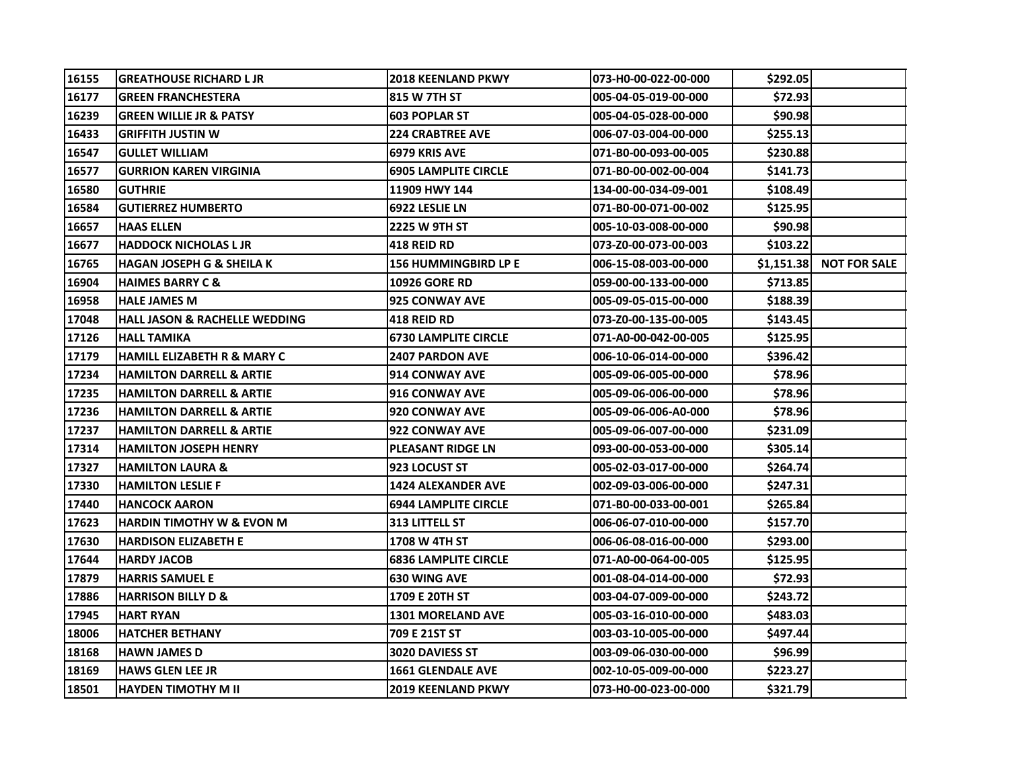| 16155 | <b>IGREATHOUSE RICHARD L JR</b>          | <b>2018 KEENLAND PKWY</b>   | 073-H0-00-022-00-000 | \$292.051  |                     |
|-------|------------------------------------------|-----------------------------|----------------------|------------|---------------------|
| 16177 | <b>GREEN FRANCHESTERA</b>                | 815 W 7TH ST                | 005-04-05-019-00-000 | \$72.93    |                     |
| 16239 | <b>GREEN WILLIE JR &amp; PATSY</b>       | <b>603 POPLAR ST</b>        | 005-04-05-028-00-000 | \$90.98    |                     |
| 16433 | <b>GRIFFITH JUSTIN W</b>                 | <b>224 CRABTREE AVE</b>     | 006-07-03-004-00-000 | \$255.13   |                     |
| 16547 | <b>GULLET WILLIAM</b>                    | 6979 KRIS AVE               | 071-B0-00-093-00-005 | \$230.88   |                     |
| 16577 | <b>GURRION KAREN VIRGINIA</b>            | <b>6905 LAMPLITE CIRCLE</b> | 071-B0-00-002-00-004 | \$141.73   |                     |
| 16580 | <b>GUTHRIE</b>                           | 11909 HWY 144               | 134-00-00-034-09-001 | \$108.49   |                     |
| 16584 | <b>GUTIERREZ HUMBERTO</b>                | 6922 LESLIE LN              | 071-B0-00-071-00-002 | \$125.95   |                     |
| 16657 | <b>HAAS ELLEN</b>                        | 2225 W 9TH ST               | 005-10-03-008-00-000 | \$90.98    |                     |
| 16677 | HADDOCK NICHOLAS L JR                    | 418 REID RD                 | 073-Z0-00-073-00-003 | \$103.22   |                     |
| 16765 | <b>HAGAN JOSEPH G &amp; SHEILA K</b>     | <b>156 HUMMINGBIRD LP E</b> | 006-15-08-003-00-000 | \$1,151.38 | <b>NOT FOR SALE</b> |
| 16904 | <b>HAIMES BARRY C &amp;</b>              | <b>10926 GORE RD</b>        | 059-00-00-133-00-000 | \$713.85   |                     |
| 16958 | <b>HALE JAMES M</b>                      | <b>925 CONWAY AVE</b>       | 005-09-05-015-00-000 | \$188.39   |                     |
| 17048 | <b>HALL JASON &amp; RACHELLE WEDDING</b> | <b>418 REID RD</b>          | 073-Z0-00-135-00-005 | \$143.45   |                     |
| 17126 | <b>HALL TAMIKA</b>                       | <b>6730 LAMPLITE CIRCLE</b> | 071-A0-00-042-00-005 | \$125.95   |                     |
| 17179 | <b>HAMILL ELIZABETH R &amp; MARY C</b>   | <b>2407 PARDON AVE</b>      | 006-10-06-014-00-000 | \$396.42   |                     |
| 17234 | <b>HAMILTON DARRELL &amp; ARTIE</b>      | 914 CONWAY AVE              | 005-09-06-005-00-000 | \$78.96    |                     |
| 17235 | <b>HAMILTON DARRELL &amp; ARTIE</b>      | 916 CONWAY AVE              | 005-09-06-006-00-000 | \$78.96    |                     |
| 17236 | <b>HAMILTON DARRELL &amp; ARTIE</b>      | <b>920 CONWAY AVE</b>       | 005-09-06-006-A0-000 | \$78.96    |                     |
| 17237 | HAMILTON DARRELL & ARTIE                 | 922 CONWAY AVE              | 005-09-06-007-00-000 | \$231.09   |                     |
| 17314 | <b>HAMILTON JOSEPH HENRY</b>             | <b>PLEASANT RIDGE LN</b>    | 093-00-00-053-00-000 | \$305.14   |                     |
| 17327 | <b>HAMILTON LAURA &amp;</b>              | 923 LOCUST ST               | 005-02-03-017-00-000 | \$264.74   |                     |
| 17330 | <b>HAMILTON LESLIE F</b>                 | <b>1424 ALEXANDER AVE</b>   | 002-09-03-006-00-000 | \$247.31   |                     |
| 17440 | <b>HANCOCK AARON</b>                     | <b>6944 LAMPLITE CIRCLE</b> | 071-B0-00-033-00-001 | \$265.84   |                     |
| 17623 | <b>HARDIN TIMOTHY W &amp; EVON M</b>     | <b>313 LITTELL ST</b>       | 006-06-07-010-00-000 | \$157.70   |                     |
| 17630 | <b>HARDISON ELIZABETH E</b>              | <b>1708 W 4TH ST</b>        | 006-06-08-016-00-000 | \$293.00   |                     |
| 17644 | <b>HARDY JACOB</b>                       | <b>6836 LAMPLITE CIRCLE</b> | 071-A0-00-064-00-005 | \$125.95   |                     |
| 17879 | <b>HARRIS SAMUEL E</b>                   | <b>630 WING AVE</b>         | 001-08-04-014-00-000 | \$72.93    |                     |
| 17886 | <b>HARRISON BILLY D &amp;</b>            | 1709 E 20TH ST              | 003-04-07-009-00-000 | \$243.72   |                     |
| 17945 | <b>HART RYAN</b>                         | <b>1301 MORELAND AVE</b>    | 005-03-16-010-00-000 | \$483.03   |                     |
| 18006 | <b>HATCHER BETHANY</b>                   | 709 E 21ST ST               | 003-03-10-005-00-000 | \$497.44   |                     |
| 18168 | <b>HAWN JAMES D</b>                      | 3020 DAVIESS ST             | 003-09-06-030-00-000 | \$96.99    |                     |
| 18169 | <b>HAWS GLEN LEE JR</b>                  | <b>1661 GLENDALE AVE</b>    | 002-10-05-009-00-000 | \$223.27   |                     |
| 18501 | <b>HAYDEN TIMOTHY M II</b>               | <b>2019 KEENLAND PKWY</b>   | 073-H0-00-023-00-000 | \$321.79   |                     |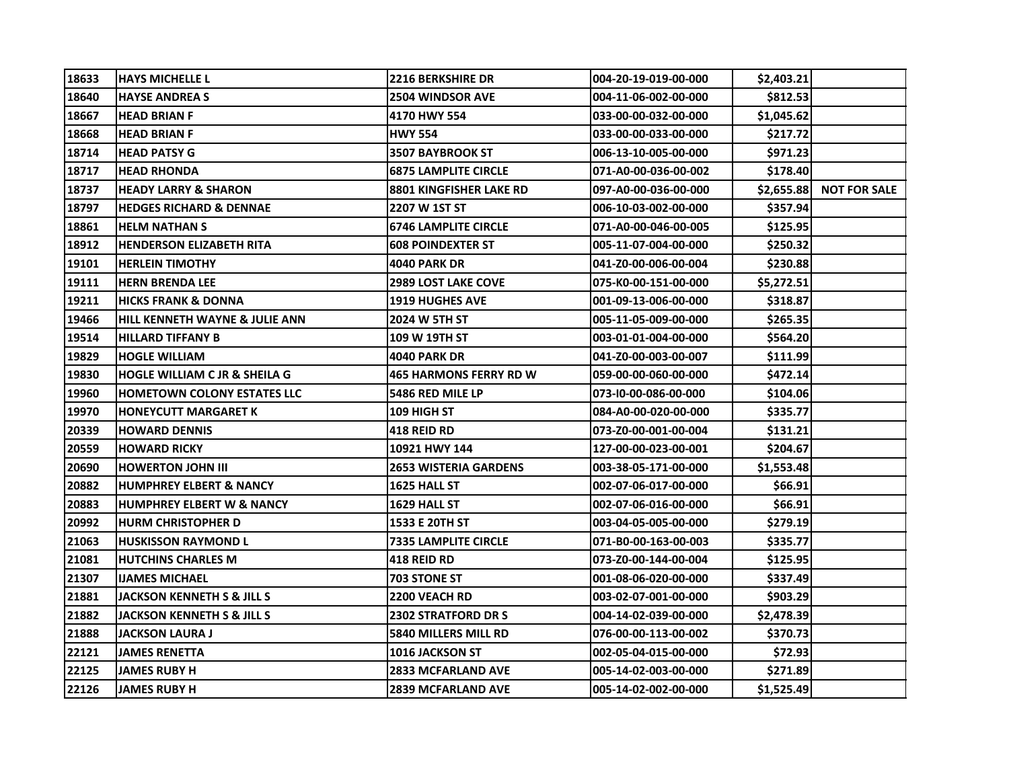| 18633 | <b>HAYS MICHELLE L</b>               | <b>2216 BERKSHIRE DR</b>       | 004-20-19-019-00-000 | \$2,403.21 |                     |
|-------|--------------------------------------|--------------------------------|----------------------|------------|---------------------|
| 18640 | <b>HAYSE ANDREA S</b>                | <b>2504 WINDSOR AVE</b>        | 004-11-06-002-00-000 | \$812.53   |                     |
| 18667 | <b>HEAD BRIAN F</b>                  | 4170 HWY 554                   | 033-00-00-032-00-000 | \$1,045.62 |                     |
| 18668 | <b>HEAD BRIAN F</b>                  | <b>HWY 554</b>                 | 033-00-00-033-00-000 | \$217.72   |                     |
| 18714 | <b>HEAD PATSY G</b>                  | <b>3507 BAYBROOK ST</b>        | 006-13-10-005-00-000 | \$971.23   |                     |
| 18717 | <b>HEAD RHONDA</b>                   | <b>6875 LAMPLITE CIRCLE</b>    | 071-A0-00-036-00-002 | \$178.40   |                     |
| 18737 | <b>HEADY LARRY &amp; SHARON</b>      | <b>8801 KINGFISHER LAKE RD</b> | 097-A0-00-036-00-000 | \$2,655.88 | <b>NOT FOR SALE</b> |
| 18797 | <b>HEDGES RICHARD &amp; DENNAE</b>   | 2207 W 1ST ST                  | 006-10-03-002-00-000 | \$357.94   |                     |
| 18861 | <b>HELM NATHAN S</b>                 | <b>6746 LAMPLITE CIRCLE</b>    | 071-A0-00-046-00-005 | \$125.95   |                     |
| 18912 | <b>HENDERSON ELIZABETH RITA</b>      | <b>608 POINDEXTER ST</b>       | 005-11-07-004-00-000 | \$250.32   |                     |
| 19101 | <b>HERLEIN TIMOTHY</b>               | 4040 PARK DR                   | 041-Z0-00-006-00-004 | \$230.88   |                     |
| 19111 | <b>HERN BRENDA LEE</b>               | <b>2989 LOST LAKE COVE</b>     | 075-K0-00-151-00-000 | \$5,272.51 |                     |
| 19211 | <b>HICKS FRANK &amp; DONNA</b>       | <b>1919 HUGHES AVE</b>         | 001-09-13-006-00-000 | \$318.87   |                     |
| 19466 | HILL KENNETH WAYNE & JULIE ANN       | 2024 W 5TH ST                  | 005-11-05-009-00-000 | \$265.35   |                     |
| 19514 | <b>HILLARD TIFFANY B</b>             | 109 W 19TH ST                  | 003-01-01-004-00-000 | \$564.20   |                     |
| 19829 | <b>HOGLE WILLIAM</b>                 | 4040 PARK DR                   | 041-Z0-00-003-00-007 | \$111.99   |                     |
| 19830 | HOGLE WILLIAM C JR & SHEILA G        | <b>465 HARMONS FERRY RD W</b>  | 059-00-00-060-00-000 | \$472.14   |                     |
| 19960 | <b>HOMETOWN COLONY ESTATES LLC</b>   | 5486 RED MILE LP               | 073-10-00-086-00-000 | \$104.06   |                     |
| 19970 | <b>HONEYCUTT MARGARET K</b>          | 109 HIGH ST                    | 084-A0-00-020-00-000 | \$335.77   |                     |
| 20339 | <b>HOWARD DENNIS</b>                 | <b>418 REID RD</b>             | 073-Z0-00-001-00-004 | \$131.21   |                     |
| 20559 | <b>HOWARD RICKY</b>                  | 10921 HWY 144                  | 127-00-00-023-00-001 | \$204.67   |                     |
| 20690 | <b>HOWERTON JOHN III</b>             | <b>2653 WISTERIA GARDENS</b>   | 003-38-05-171-00-000 | \$1,553.48 |                     |
| 20882 | <b>HUMPHREY ELBERT &amp; NANCY</b>   | 1625 HALL ST                   | 002-07-06-017-00-000 | \$66.91    |                     |
| 20883 | <b>HUMPHREY ELBERT W &amp; NANCY</b> | 1629 HALL ST                   | 002-07-06-016-00-000 | \$66.91    |                     |
| 20992 | <b>HURM CHRISTOPHER D</b>            | <b>1533 E 20TH ST</b>          | 003-04-05-005-00-000 | \$279.19   |                     |
| 21063 | <b>HUSKISSON RAYMOND L</b>           | <b>7335 LAMPLITE CIRCLE</b>    | 071-B0-00-163-00-003 | \$335.77   |                     |
| 21081 | <b>HUTCHINS CHARLES M</b>            | <b>418 REID RD</b>             | 073-Z0-00-144-00-004 | \$125.95   |                     |
| 21307 | <b>IJAMES MICHAEL</b>                | 703 STONE ST                   | 001-08-06-020-00-000 | \$337.49   |                     |
| 21881 | JACKSON KENNETH S & JILL S           | 2200 VEACH RD                  | 003-02-07-001-00-000 | \$903.29   |                     |
| 21882 | JACKSON KENNETH S & JILL S           | <b>2302 STRATFORD DR S</b>     | 004-14-02-039-00-000 | \$2,478.39 |                     |
| 21888 | JACKSON LAURA J                      | 5840 MILLERS MILL RD           | 076-00-00-113-00-002 | \$370.73   |                     |
| 22121 | <b>JAMES RENETTA</b>                 | <b>1016 JACKSON ST</b>         | 002-05-04-015-00-000 | \$72.93    |                     |
| 22125 | <b>JAMES RUBY H</b>                  | <b>2833 MCFARLAND AVE</b>      | 005-14-02-003-00-000 | \$271.89   |                     |
| 22126 | <b>JAMES RUBY H</b>                  | <b>2839 MCFARLAND AVE</b>      | 005-14-02-002-00-000 | \$1,525.49 |                     |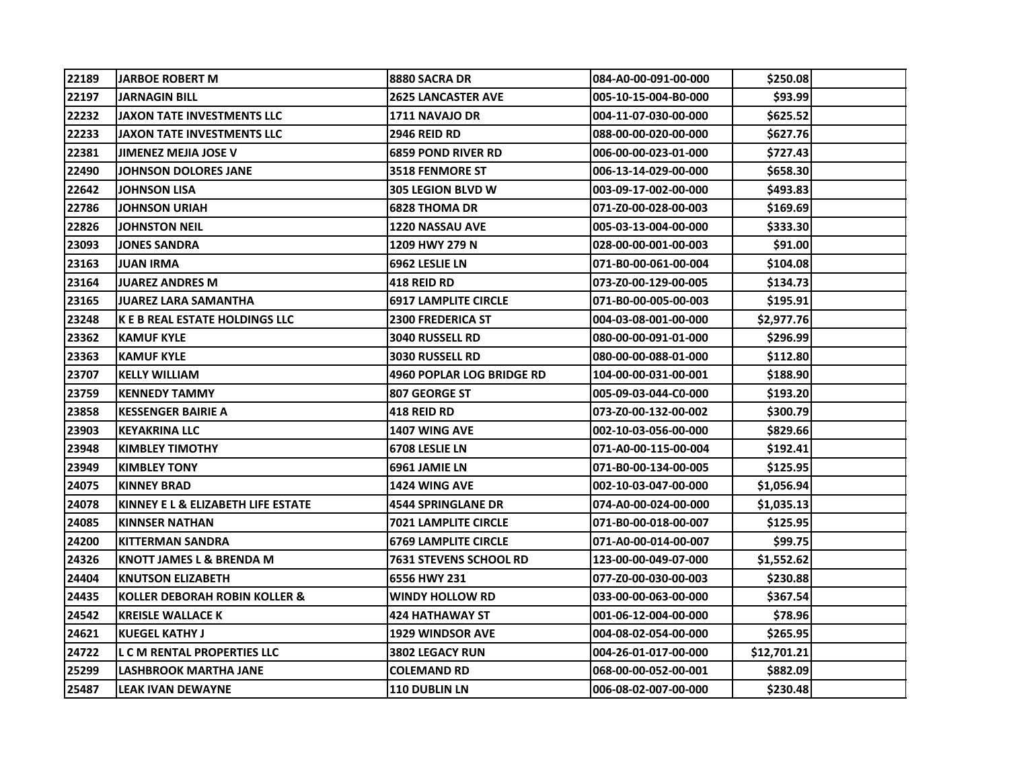| 22189 | <b>JARBOE ROBERT M</b>              | 8880 SACRA DR                 | 084-A0-00-091-00-000 | \$250.08       |
|-------|-------------------------------------|-------------------------------|----------------------|----------------|
| 22197 | <b>JARNAGIN BILL</b>                | <b>2625 LANCASTER AVE</b>     | 005-10-15-004-B0-000 | \$93.99        |
| 22232 | <b>JAXON TATE INVESTMENTS LLC</b>   | 1711 NAVAJO DR                | 004-11-07-030-00-000 | \$625.52       |
| 22233 | <b>JAXON TATE INVESTMENTS LLC</b>   | <b>2946 REID RD</b>           | 088-00-00-020-00-000 | \$627.76       |
| 22381 | JIMENEZ MEJIA JOSE V                | <b>6859 POND RIVER RD</b>     | 006-00-00-023-01-000 | \$727.43       |
| 22490 | JOHNSON DOLORES JANE                | <b>3518 FENMORE ST</b>        | 006-13-14-029-00-000 | \$658.30       |
| 22642 | JOHNSON LISA                        | <b>305 LEGION BLVD W</b>      | 003-09-17-002-00-000 | \$493.83       |
| 22786 | JOHNSON URIAH                       | <b>6828 THOMA DR</b>          | 071-Z0-00-028-00-003 | \$169.69       |
| 22826 | JOHNSTON NEIL                       | <b>1220 NASSAU AVE</b>        | 005-03-13-004-00-000 | \$333.30       |
| 23093 | JONES SANDRA                        | 1209 HWY 279 N                | 028-00-00-001-00-003 | \$91.00        |
| 23163 | JUAN IRMA                           | 6962 LESLIE LN                | 071-B0-00-061-00-004 | \$104.08       |
| 23164 | <b>JUAREZ ANDRES M</b>              | 418 REID RD                   | 073-Z0-00-129-00-005 | \$134.73       |
| 23165 | <b>JUAREZ LARA SAMANTHA</b>         | <b>6917 LAMPLITE CIRCLE</b>   | 071-B0-00-005-00-003 | \$195.91       |
| 23248 | K E B REAL ESTATE HOLDINGS LLC      | <b>2300 FREDERICA ST</b>      | 004-03-08-001-00-000 | \$2,977.76     |
| 23362 | <b>KAMUF KYLE</b>                   | <b>3040 RUSSELL RD</b>        | 080-00-00-091-01-000 | \$296.99       |
| 23363 | <b>KAMUF KYLE</b>                   | <b>3030 RUSSELL RD</b>        | 080-00-00-088-01-000 | \$112.80       |
| 23707 | KELLY WILLIAM                       | 4960 POPLAR LOG BRIDGE RD     | 104-00-00-031-00-001 | \$188.90       |
| 23759 | <b>KENNEDY TAMMY</b>                | 807 GEORGE ST                 | 005-09-03-044-C0-000 | \$193.20       |
| 23858 | <b>KESSENGER BAIRIE A</b>           | 418 REID RD                   | 073-Z0-00-132-00-002 | \$300.79       |
| 23903 | <b>KEYAKRINA LLC</b>                | <b>1407 WING AVE</b>          | 002-10-03-056-00-000 | \$829.66       |
| 23948 | <b>KIMBLEY TIMOTHY</b>              | <b>6708 LESLIE LN</b>         | 071-A0-00-115-00-004 | \$192.41       |
| 23949 | <b>KIMBLEY TONY</b>                 | 6961 JAMIE LN                 | 071-B0-00-134-00-005 | \$125.95       |
| 24075 | <b>KINNEY BRAD</b>                  | <b>1424 WING AVE</b>          | 002-10-03-047-00-000 | \$1,056.94     |
| 24078 | IKINNEY E L & ELIZABETH LIFE ESTATE | <b>4544 SPRINGLANE DR</b>     | 074-A0-00-024-00-000 | \$1,035.13     |
| 24085 | <b>KINNSER NATHAN</b>               | <b>7021 LAMPLITE CIRCLE</b>   | 071-B0-00-018-00-007 | \$125.95       |
| 24200 | <b>KITTERMAN SANDRA</b>             | <b>6769 LAMPLITE CIRCLE</b>   | 071-A0-00-014-00-007 | <b>S99.75</b>  |
| 24326 | <b>KNOTT JAMES L &amp; BRENDA M</b> | <b>7631 STEVENS SCHOOL RD</b> | 123-00-00-049-07-000 | \$1,552.62     |
| 24404 | <b>KNUTSON ELIZABETH</b>            | 6556 HWY 231                  | 077-Z0-00-030-00-003 | \$230.88       |
| 24435 | KOLLER DEBORAH ROBIN KOLLER &       | <b>WINDY HOLLOW RD</b>        | 033-00-00-063-00-000 | \$367.54       |
| 24542 | <b>KREISLE WALLACE K</b>            | 424 HATHAWAY ST               | 001-06-12-004-00-000 | <b>\$78.96</b> |
| 24621 | <b>KUEGEL KATHY J</b>               | <b>1929 WINDSOR AVE</b>       | 004-08-02-054-00-000 | \$265.95       |
| 24722 | L C M RENTAL PROPERTIES LLC         | <b>3802 LEGACY RUN</b>        | 004-26-01-017-00-000 | \$12,701.21    |
| 25299 | <b>LASHBROOK MARTHA JANE</b>        | <b>COLEMAND RD</b>            | 068-00-00-052-00-001 | \$882.09       |
| 25487 | LEAK IVAN DEWAYNE                   | <b>110 DUBLIN LN</b>          | 006-08-02-007-00-000 | \$230.48       |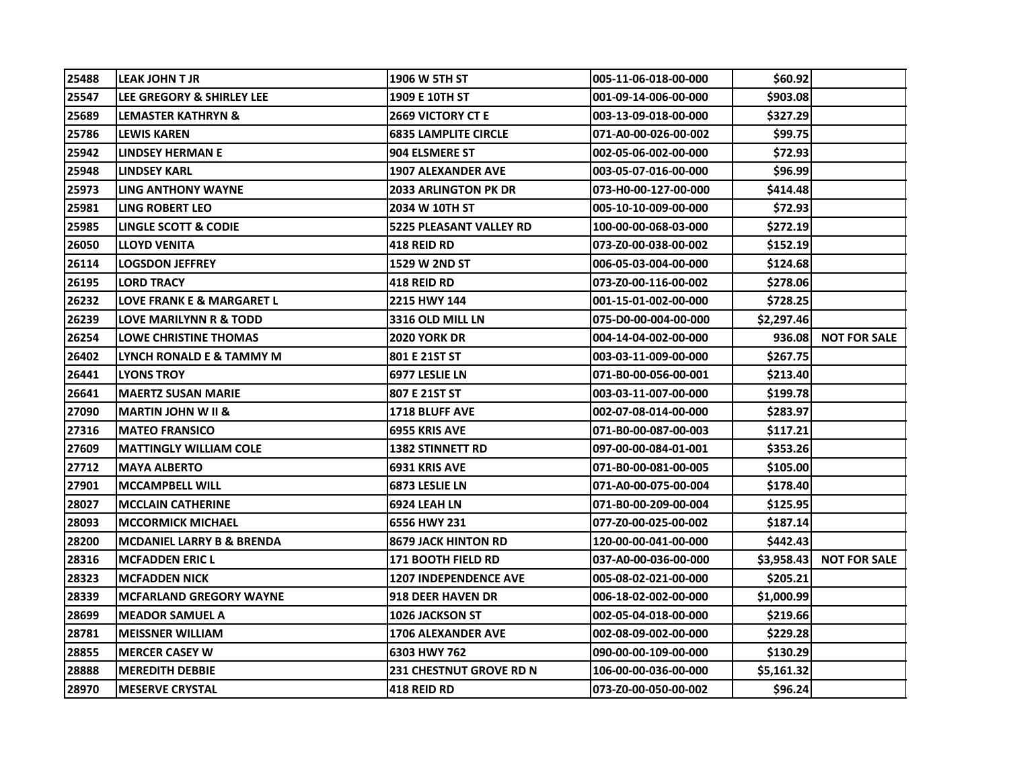| 25488 | LEAK JOHN T JR                       | 1906 W 5TH ST                  | 005-11-06-018-00-000 | \$60.92        |                     |
|-------|--------------------------------------|--------------------------------|----------------------|----------------|---------------------|
| 25547 | LEE GREGORY & SHIRLEY LEE            | 1909 E 10TH ST                 | 001-09-14-006-00-000 | \$903.08       |                     |
| 25689 | <b>LEMASTER KATHRYN &amp;</b>        | <b>2669 VICTORY CT E</b>       | 003-13-09-018-00-000 | \$327.29       |                     |
| 25786 | <b>LEWIS KAREN</b>                   | <b>6835 LAMPLITE CIRCLE</b>    | 071-A0-00-026-00-002 | \$99.75        |                     |
| 25942 | LINDSEY HERMAN E                     | 904 ELSMERE ST                 | 002-05-06-002-00-000 | \$72.93        |                     |
| 25948 | <b>LINDSEY KARL</b>                  | <b>1907 ALEXANDER AVE</b>      | 003-05-07-016-00-000 | \$96.99        |                     |
| 25973 | LING ANTHONY WAYNE                   | <b>2033 ARLINGTON PK DR</b>    | 073-H0-00-127-00-000 | \$414.48       |                     |
| 25981 | <b>LING ROBERT LEO</b>               | 2034 W 10TH ST                 | 005-10-10-009-00-000 | \$72.93        |                     |
| 25985 | <b>LINGLE SCOTT &amp; CODIE</b>      | <b>5225 PLEASANT VALLEY RD</b> | 100-00-00-068-03-000 | \$272.19       |                     |
| 26050 | <b>LLOYD VENITA</b>                  | <b>418 REID RD</b>             | 073-Z0-00-038-00-002 | \$152.19       |                     |
| 26114 | <b>LOGSDON JEFFREY</b>               | <b>1529 W 2ND ST</b>           | 006-05-03-004-00-000 | \$124.68       |                     |
| 26195 | <b>LORD TRACY</b>                    | <b>418 REID RD</b>             | 073-Z0-00-116-00-002 | \$278.06       |                     |
| 26232 | <b>LOVE FRANK E &amp; MARGARET L</b> | 2215 HWY 144                   | 001-15-01-002-00-000 | \$728.25       |                     |
| 26239 | <b>LOVE MARILYNN R &amp; TODD</b>    | 3316 OLD MILL LN               | 075-D0-00-004-00-000 | \$2,297.46     |                     |
| 26254 | <b>LOWE CHRISTINE THOMAS</b>         | <b>2020 YORK DR</b>            | 004-14-04-002-00-000 | 936.081        | <b>NOT FOR SALE</b> |
| 26402 | LYNCH RONALD E & TAMMY M             | 801 E 21ST ST                  | 003-03-11-009-00-000 | \$267.75       |                     |
| 26441 | <b>LYONS TROY</b>                    | 6977 LESLIE LN                 | 071-B0-00-056-00-001 | \$213.40       |                     |
| 26641 | <b>MAERTZ SUSAN MARIE</b>            | 807 E 21ST ST                  | 003-03-11-007-00-000 | \$199.78       |                     |
| 27090 | IMARTIN JOHN W II &                  | <b>1718 BLUFF AVE</b>          | 002-07-08-014-00-000 | \$283.97       |                     |
| 27316 | <b>MATEO FRANSICO</b>                | 6955 KRIS AVE                  | 071-B0-00-087-00-003 | \$117.21       |                     |
| 27609 | <b>MATTINGLY WILLIAM COLE</b>        | <b>1382 STINNETT RD</b>        | 097-00-00-084-01-001 | \$353.26       |                     |
| 27712 | IMAYA ALBERTO                        | <b>6931 KRIS AVE</b>           | 071-B0-00-081-00-005 | \$105.00       |                     |
| 27901 | <b>MCCAMPBELL WILL</b>               | 6873 LESLIE LN                 | 071-A0-00-075-00-004 | \$178.40       |                     |
| 28027 | IMCCLAIN CATHERINE                   | 6924 LEAH LN                   | 071-B0-00-209-00-004 | \$125.95       |                     |
| 28093 | <b>MCCORMICK MICHAEL</b>             | 6556 HWY 231                   | 077-Z0-00-025-00-002 | \$187.14       |                     |
| 28200 | MCDANIEL LARRY B & BRENDA            | <b>8679 JACK HINTON RD</b>     | 120-00-00-041-00-000 | \$442.431      |                     |
| 28316 | IMCFADDEN ERIC L                     | <b>171 BOOTH FIELD RD</b>      | 037-A0-00-036-00-000 | \$3,958.43     | <b>NOT FOR SALE</b> |
| 28323 | IMCFADDEN NICK                       | <b>1207 INDEPENDENCE AVE</b>   | 005-08-02-021-00-000 | \$205.21       |                     |
| 28339 | <b>MCFARLAND GREGORY WAYNE</b>       | <b>918 DEER HAVEN DR</b>       | 006-18-02-002-00-000 | \$1,000.99     |                     |
| 28699 | IMEADOR SAMUEL A                     | <b>1026 JACKSON ST</b>         | 002-05-04-018-00-000 | <b>S219.66</b> |                     |
| 28781 | <b>MEISSNER WILLIAM</b>              | <b>1706 ALEXANDER AVE</b>      | 002-08-09-002-00-000 | \$229.28       |                     |
| 28855 | <b>MERCER CASEY W</b>                | 6303 HWY 762                   | 090-00-00-109-00-000 | \$130.29       |                     |
| 28888 | <b>MEREDITH DEBBIE</b>               | <b>231 CHESTNUT GROVE RD N</b> | 106-00-00-036-00-000 | \$5,161.32     |                     |
| 28970 | <b>MESERVE CRYSTAL</b>               | <b>418 REID RD</b>             | 073-Z0-00-050-00-002 | \$96.24        |                     |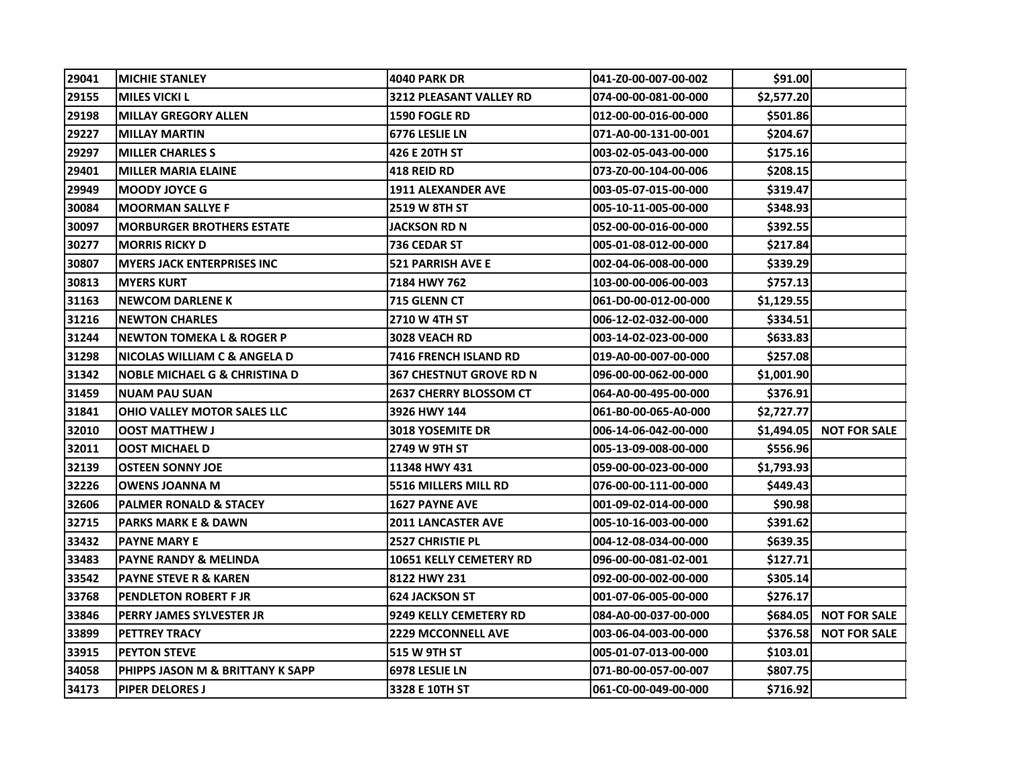| 29041 | <b>MICHIE STANLEY</b>                    | <b>4040 PARK DR</b>            | 041-Z0-00-007-00-002 | <b>\$91.00</b> |                     |
|-------|------------------------------------------|--------------------------------|----------------------|----------------|---------------------|
| 29155 | <b>MILES VICKI L</b>                     | 3212 PLEASANT VALLEY RD        | 074-00-00-081-00-000 | \$2,577.20     |                     |
| 29198 | <b>MILLAY GREGORY ALLEN</b>              | <b>1590 FOGLE RD</b>           | 012-00-00-016-00-000 | \$501.86       |                     |
| 29227 | <b>MILLAY MARTIN</b>                     | <b>6776 LESLIE LN</b>          | 071-A0-00-131-00-001 | \$204.67       |                     |
| 29297 | <b>MILLER CHARLES S</b>                  | 426 E 20TH ST                  | 003-02-05-043-00-000 | \$175.16       |                     |
| 29401 | <b>MILLER MARIA ELAINE</b>               | 418 REID RD                    | 073-Z0-00-104-00-006 | \$208.15       |                     |
| 29949 | <b>MOODY JOYCE G</b>                     | <b>1911 ALEXANDER AVE</b>      | 003-05-07-015-00-000 | \$319.47       |                     |
| 30084 | <b>MOORMAN SALLYE F</b>                  | <b>2519 W 8TH ST</b>           | 005-10-11-005-00-000 | \$348.93       |                     |
| 30097 | <b>MORBURGER BROTHERS ESTATE</b>         | <b>JACKSON RD N</b>            | 052-00-00-016-00-000 | \$392.55       |                     |
| 30277 | <b>MORRIS RICKY D</b>                    | 736 CEDAR ST                   | 005-01-08-012-00-000 | \$217.84       |                     |
| 30807 | <b>MYERS JACK ENTERPRISES INC</b>        | <b>521 PARRISH AVE E</b>       | 002-04-06-008-00-000 | \$339.29       |                     |
| 30813 | <b>MYERS KURT</b>                        | 7184 HWY 762                   | 103-00-00-006-00-003 | \$757.13       |                     |
| 31163 | <b>NEWCOM DARLENE K</b>                  | 715 GLENN CT                   | 061-D0-00-012-00-000 | \$1,129.55     |                     |
| 31216 | <b>NEWTON CHARLES</b>                    | <b>2710 W 4TH ST</b>           | 006-12-02-032-00-000 | \$334.51       |                     |
| 31244 | <b>INEWTON TOMEKA L &amp; ROGER P</b>    | <b>3028 VEACH RD</b>           | 003-14-02-023-00-000 | \$633.83       |                     |
| 31298 | NICOLAS WILLIAM C & ANGELA D             | <b>7416 FRENCH ISLAND RD</b>   | 019-A0-00-007-00-000 | \$257.08       |                     |
| 31342 | <b>NOBLE MICHAEL G &amp; CHRISTINA D</b> | <b>367 CHESTNUT GROVE RD N</b> | 096-00-00-062-00-000 | \$1,001.90     |                     |
| 31459 | <b>NUAM PAU SUAN</b>                     | <b>2637 CHERRY BLOSSOM CT</b>  | 064-A0-00-495-00-000 | \$376.91       |                     |
| 31841 | OHIO VALLEY MOTOR SALES LLC              | 3926 HWY 144                   | 061-B0-00-065-A0-000 | \$2,727.77     |                     |
| 32010 | <b>OOST MATTHEW J</b>                    | <b>3018 YOSEMITE DR</b>        | 006-14-06-042-00-000 | \$1,494.05     | <b>NOT FOR SALE</b> |
| 32011 | <b>OOST MICHAEL D</b>                    | 2749 W 9TH ST                  | 005-13-09-008-00-000 | \$556.96       |                     |
| 32139 | <b>OSTEEN SONNY JOE</b>                  | 11348 HWY 431                  | 059-00-00-023-00-000 | \$1,793.93     |                     |
| 32226 | <b>OWENS JOANNA M</b>                    | 5516 MILLERS MILL RD           | 076-00-00-111-00-000 | \$449.43       |                     |
| 32606 | <b>PALMER RONALD &amp; STACEY</b>        | <b>1627 PAYNE AVE</b>          | 001-09-02-014-00-000 | \$90.98        |                     |
| 32715 | <b>PARKS MARK E &amp; DAWN</b>           | <b>2011 LANCASTER AVE</b>      | 005-10-16-003-00-000 | \$391.62       |                     |
| 33432 | <b>PAYNE MARY E</b>                      | <b>2527 CHRISTIE PL</b>        | 004-12-08-034-00-000 | \$639.35       |                     |
| 33483 | <b>PAYNE RANDY &amp; MELINDA</b>         | 10651 KELLY CEMETERY RD        | 096-00-00-081-02-001 | \$127.71       |                     |
| 33542 | <b>PAYNE STEVE R &amp; KAREN</b>         | 8122 HWY 231                   | 092-00-00-002-00-000 | \$305.14       |                     |
| 33768 | <b>PENDLETON ROBERT F JR</b>             | <b>624 JACKSON ST</b>          | 001-07-06-005-00-000 | \$276.17       |                     |
| 33846 | <b>PERRY JAMES SYLVESTER JR</b>          | 9249 KELLY CEMETERY RD         | 084-A0-00-037-00-000 | \$684.051      | <b>NOT FOR SALE</b> |
| 33899 | <b>PETTREY TRACY</b>                     | <b>2229 MCCONNELL AVE</b>      | 003-06-04-003-00-000 | \$376.58       | <b>NOT FOR SALE</b> |
| 33915 | <b>PEYTON STEVE</b>                      | 515 W 9TH ST                   | 005-01-07-013-00-000 | \$103.01       |                     |
| 34058 | PHIPPS JASON M & BRITTANY K SAPP         | 6978 LESLIE LN                 | 071-B0-00-057-00-007 | \$807.75       |                     |
| 34173 | <b>PIPER DELORES J</b>                   | 3328 E 10TH ST                 | 061-C0-00-049-00-000 | \$716.92       |                     |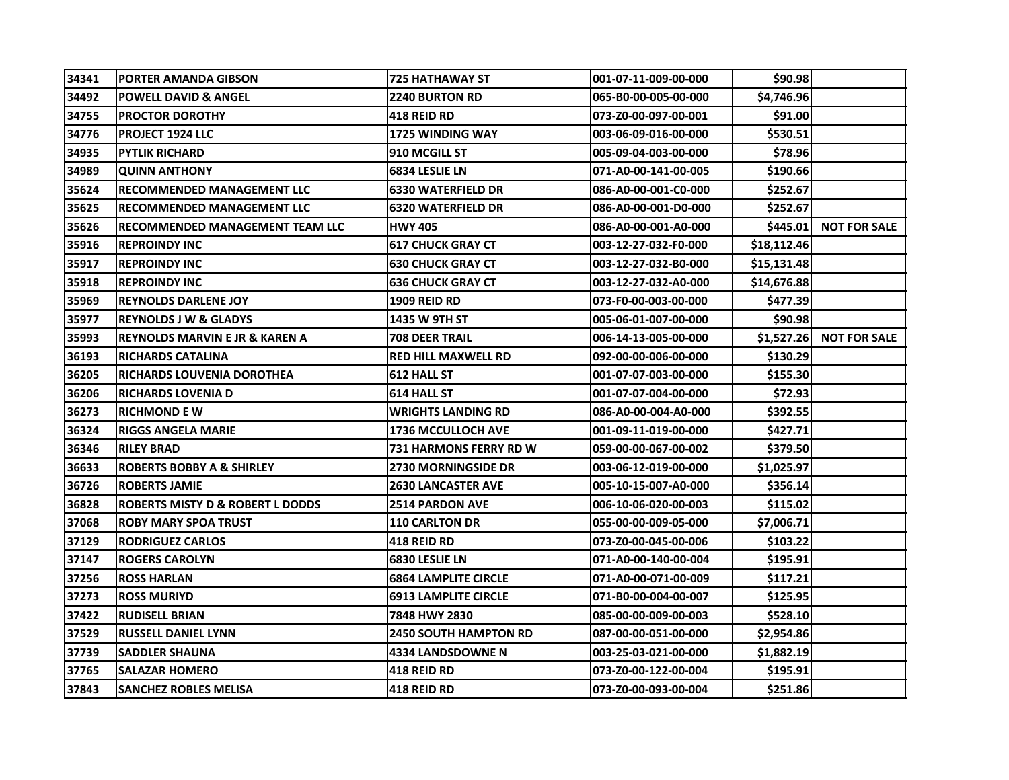| 34341 | <b>PORTER AMANDA GIBSON</b>                 | <b>725 HATHAWAY ST</b>        | 001-07-11-009-00-000 | \$90.98     |                     |
|-------|---------------------------------------------|-------------------------------|----------------------|-------------|---------------------|
| 34492 | <b>POWELL DAVID &amp; ANGEL</b>             | <b>2240 BURTON RD</b>         | 065-B0-00-005-00-000 | \$4,746.96  |                     |
| 34755 | <b>PROCTOR DOROTHY</b>                      | <b>418 REID RD</b>            | 073-Z0-00-097-00-001 | \$91.00     |                     |
| 34776 | <b>PROJECT 1924 LLC</b>                     | <b>1725 WINDING WAY</b>       | 003-06-09-016-00-000 | \$530.51    |                     |
| 34935 | <b>PYTLIK RICHARD</b>                       | 910 MCGILL ST                 | 005-09-04-003-00-000 | \$78.96     |                     |
| 34989 | <b>QUINN ANTHONY</b>                        | <b>6834 LESLIE LN</b>         | 071-A0-00-141-00-005 | \$190.66    |                     |
| 35624 | <b>RECOMMENDED MANAGEMENT LLC</b>           | <b>6330 WATERFIELD DR</b>     | 086-A0-00-001-C0-000 | \$252.67    |                     |
| 35625 | <b>RECOMMENDED MANAGEMENT LLC</b>           | <b>6320 WATERFIELD DR</b>     | 086-A0-00-001-D0-000 | \$252.67    |                     |
| 35626 | <b>RECOMMENDED MANAGEMENT TEAM LLC</b>      | <b>HWY 405</b>                | 086-A0-00-001-A0-000 | \$445.01    | <b>NOT FOR SALE</b> |
| 35916 | <b>REPROINDY INC</b>                        | <b>617 CHUCK GRAY CT</b>      | 003-12-27-032-F0-000 | \$18,112.46 |                     |
| 35917 | <b>REPROINDY INC</b>                        | <b>630 CHUCK GRAY CT</b>      | 003-12-27-032-B0-000 | \$15,131.48 |                     |
| 35918 | <b>REPROINDY INC</b>                        | <b>636 CHUCK GRAY CT</b>      | 003-12-27-032-A0-000 | \$14,676.88 |                     |
| 35969 | <b>REYNOLDS DARLENE JOY</b>                 | <b>1909 REID RD</b>           | 073-F0-00-003-00-000 | \$477.39    |                     |
| 35977 | <b>REYNOLDS J W &amp; GLADYS</b>            | 1435 W 9TH ST                 | 005-06-01-007-00-000 | \$90.98     |                     |
| 35993 | IREYNOLDS MARVIN E JR & KAREN A             | <b>708 DEER TRAIL</b>         | 006-14-13-005-00-000 | \$1,527.26  | <b>NOT FOR SALE</b> |
| 36193 | RICHARDS CATALINA                           | <b>RED HILL MAXWELL RD</b>    | 092-00-00-006-00-000 | \$130.29    |                     |
| 36205 | <b>RICHARDS LOUVENIA DOROTHEA</b>           | <b>612 HALL ST</b>            | 001-07-07-003-00-000 | \$155.30    |                     |
| 36206 | <b>RICHARDS LOVENIA D</b>                   | <b>614 HALL ST</b>            | 001-07-07-004-00-000 | \$72.93     |                     |
| 36273 | <b>RICHMOND E W</b>                         | <b>WRIGHTS LANDING RD</b>     | 086-A0-00-004-A0-000 | \$392.55    |                     |
| 36324 | <b>RIGGS ANGELA MARIE</b>                   | <b>1736 MCCULLOCH AVE</b>     | 001-09-11-019-00-000 | \$427.71    |                     |
| 36346 | <b>RILEY BRAD</b>                           | <b>731 HARMONS FERRY RD W</b> | 059-00-00-067-00-002 | \$379.50    |                     |
| 36633 | <b>ROBERTS BOBBY A &amp; SHIRLEY</b>        | <b>2730 MORNINGSIDE DR</b>    | 003-06-12-019-00-000 | \$1,025.97  |                     |
| 36726 | <b>ROBERTS JAMIE</b>                        | <b>2630 LANCASTER AVE</b>     | 005-10-15-007-A0-000 | \$356.14    |                     |
| 36828 | <b>ROBERTS MISTY D &amp; ROBERT L DODDS</b> | <b>2514 PARDON AVE</b>        | 006-10-06-020-00-003 | \$115.02    |                     |
| 37068 | <b>ROBY MARY SPOA TRUST</b>                 | <b>110 CARLTON DR</b>         | 055-00-00-009-05-000 | \$7,006.71  |                     |
| 37129 | <b>RODRIGUEZ CARLOS</b>                     | <b>418 REID RD</b>            | 073-Z0-00-045-00-006 | \$103.22    |                     |
| 37147 | <b>ROGERS CAROLYN</b>                       | <b>6830 LESLIE LN</b>         | 071-A0-00-140-00-004 | \$195.91    |                     |
| 37256 | <b>ROSS HARLAN</b>                          | <b>6864 LAMPLITE CIRCLE</b>   | 071-A0-00-071-00-009 | \$117.21    |                     |
| 37273 | <b>ROSS MURIYD</b>                          | <b>6913 LAMPLITE CIRCLE</b>   | 071-B0-00-004-00-007 | \$125.95    |                     |
| 37422 | <b>RUDISELL BRIAN</b>                       | 7848 HWY 2830                 | 085-00-00-009-00-003 | \$528.10    |                     |
| 37529 | <b>RUSSELL DANIEL LYNN</b>                  | <b>2450 SOUTH HAMPTON RD</b>  | 087-00-00-051-00-000 | \$2,954.86  |                     |
| 37739 | <b>SADDLER SHAUNA</b>                       | <b>4334 LANDSDOWNE N</b>      | 003-25-03-021-00-000 | \$1,882.19  |                     |
| 37765 | <b>SALAZAR HOMERO</b>                       | <b>418 REID RD</b>            | 073-Z0-00-122-00-004 | \$195.91    |                     |
| 37843 | <b>SANCHEZ ROBLES MELISA</b>                | 418 REID RD                   | 073-Z0-00-093-00-004 | \$251.86    |                     |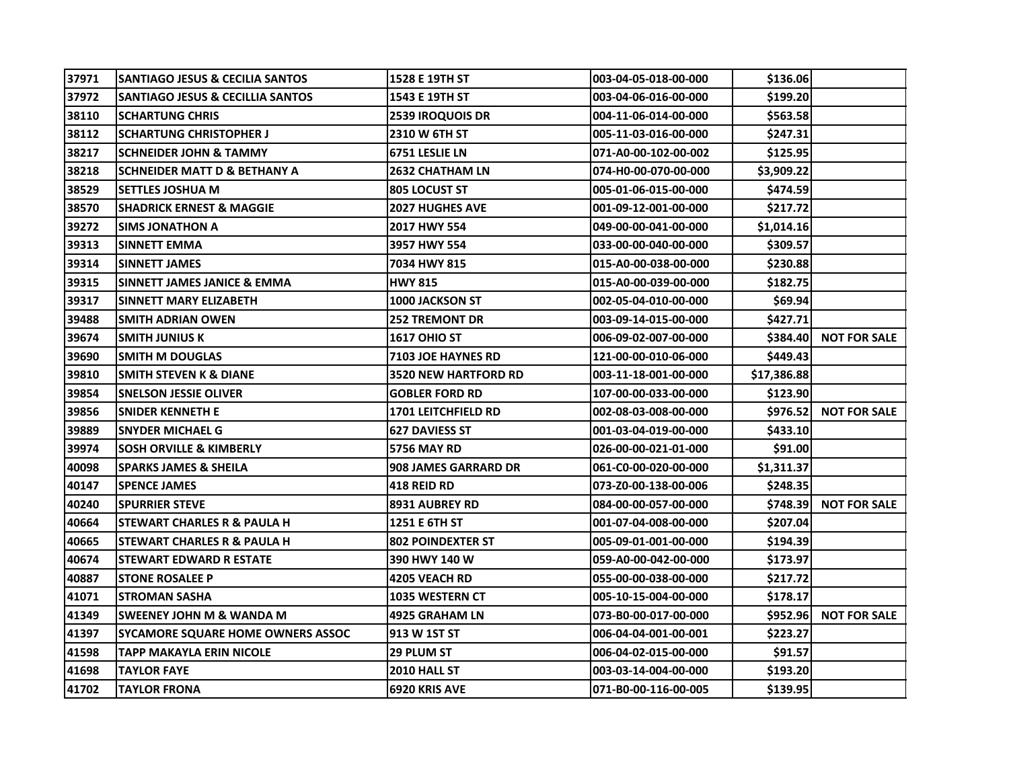| 37971 | <b>SANTIAGO JESUS &amp; CECILIA SANTOS</b>  | 1528 E 19TH ST              | 003-04-05-018-00-000  | \$136.06    |                       |
|-------|---------------------------------------------|-----------------------------|-----------------------|-------------|-----------------------|
| 37972 | <b>SANTIAGO JESUS &amp; CECILLIA SANTOS</b> | 1543 E 19TH ST              | 003-04-06-016-00-000  | \$199.20    |                       |
| 38110 | <b>SCHARTUNG CHRIS</b>                      | 2539 IROQUOIS DR            | 004-11-06-014-00-000  | \$563.58    |                       |
| 38112 | ISCHARTUNG CHRISTOPHER J                    | 2310 W 6TH ST               | 005-11-03-016-00-000  | \$247.31    |                       |
| 38217 | <b>SCHNEIDER JOHN &amp; TAMMY</b>           | 6751 LESLIE LN              | 071-A0-00-102-00-002  | \$125.95    |                       |
| 38218 | <b>SCHNEIDER MATT D &amp; BETHANY A</b>     | <b>2632 CHATHAM LN</b>      | 074-H0-00-070-00-000  | \$3,909.22  |                       |
| 38529 | <b>SETTLES JOSHUA M</b>                     | 805 LOCUST ST               | 005-01-06-015-00-000  | \$474.59    |                       |
| 38570 | <b>ISHADRICK ERNEST &amp; MAGGIE</b>        | <b>2027 HUGHES AVE</b>      | 001-09-12-001-00-000  | \$217.72    |                       |
| 39272 | ISIMS JONATHON A                            | 2017 HWY 554                | 049-00-00-041-00-000  | \$1,014.16  |                       |
| 39313 | <b>SINNETT EMMA</b>                         | 3957 HWY 554                | 033-00-00-040-00-000  | \$309.57    |                       |
| 39314 | <b>SINNETT JAMES</b>                        | 7034 HWY 815                | 015-A0-00-038-00-000  | \$230.88    |                       |
| 39315 | ISINNETT JAMES JANICE & EMMA                | <b>HWY 815</b>              | 015-A0-00-039-00-000  | \$182.75    |                       |
| 39317 | <b>SINNETT MARY ELIZABETH</b>               | <b>1000 JACKSON ST</b>      | 002-05-04-010-00-000  | \$69.94     |                       |
| 39488 | <b>SMITH ADRIAN OWEN</b>                    | <b>252 TREMONT DR</b>       | l003-09-14-015-00-000 | \$427.71    |                       |
| 39674 | <b>SMITH JUNIUS K</b>                       | <b>1617 OHIO ST</b>         | 006-09-02-007-00-000  | \$384.40    | <b>NOT FOR SALE</b>   |
| 39690 | <b>SMITH M DOUGLAS</b>                      | <b>7103 JOE HAYNES RD</b>   | 121-00-00-010-06-000  | \$449.43    |                       |
| 39810 | SMITH STEVEN K & DIANE                      | <b>3520 NEW HARTFORD RD</b> | 003-11-18-001-00-000  | \$17,386.88 |                       |
| 39854 | <b>SNELSON JESSIE OLIVER</b>                | <b>GOBLER FORD RD</b>       | 107-00-00-033-00-000  | \$123.90    |                       |
| 39856 | <b>SNIDER KENNETH E</b>                     | <b>1701 LEITCHFIELD RD</b>  | 002-08-03-008-00-000  |             | \$976.52 NOT FOR SALE |
| 39889 | <b>SNYDER MICHAEL G</b>                     | <b>627 DAVIESS ST</b>       | 001-03-04-019-00-000  | \$433.10    |                       |
| 39974 | <b>SOSH ORVILLE &amp; KIMBERLY</b>          | <b>5756 MAY RD</b>          | 026-00-00-021-01-000  | \$91.00     |                       |
| 40098 | <b>SPARKS JAMES &amp; SHEILA</b>            | <b>908 JAMES GARRARD DR</b> | 061-C0-00-020-00-000  | \$1,311.37  |                       |
| 40147 | <b>SPENCE JAMES</b>                         | <b>418 REID RD</b>          | 073-Z0-00-138-00-006  | \$248.35    |                       |
| 40240 | ISPURRIER STEVE                             | <b>8931 AUBREY RD</b>       | 084-00-00-057-00-000  |             | \$748.39 NOT FOR SALE |
| 40664 | ISTEWART CHARLES R & PAULA H                | 1251 E 6TH ST               | 001-07-04-008-00-000  | \$207.04    |                       |
| 40665 | <b>STEWART CHARLES R &amp; PAULA H</b>      | <b>802 POINDEXTER ST</b>    | 005-09-01-001-00-000  | \$194.39    |                       |
| 40674 | <b>STEWART EDWARD R ESTATE</b>              | 390 HWY 140 W               | 059-A0-00-042-00-000  | \$173.97    |                       |
| 40887 | <b>STONE ROSALEE P</b>                      | 4205 VEACH RD               | 055-00-00-038-00-000  | \$217.72    |                       |
| 41071 | ISTROMAN SASHA                              | <b>1035 WESTERN CT</b>      | 005-10-15-004-00-000  | \$178.17    |                       |
| 41349 | <b>ISWEENEY JOHN M &amp; WANDA M</b>        | <b>4925 GRAHAM LN</b>       | 073-B0-00-017-00-000  |             | \$952.96 NOT FOR SALE |
| 41397 | <b>SYCAMORE SQUARE HOME OWNERS ASSOC</b>    | 913 W 1ST ST                | 006-04-04-001-00-001  | \$223.27    |                       |
| 41598 | TAPP MAKAYLA ERIN NICOLE                    | 29 PLUM ST                  | 006-04-02-015-00-000  | \$91.57     |                       |
| 41698 | <b>TAYLOR FAYE</b>                          | 2010 HALL ST                | 003-03-14-004-00-000  | \$193.20    |                       |
| 41702 | <b>TAYLOR FRONA</b>                         | 6920 KRIS AVE               | 071-B0-00-116-00-005  | \$139.95    |                       |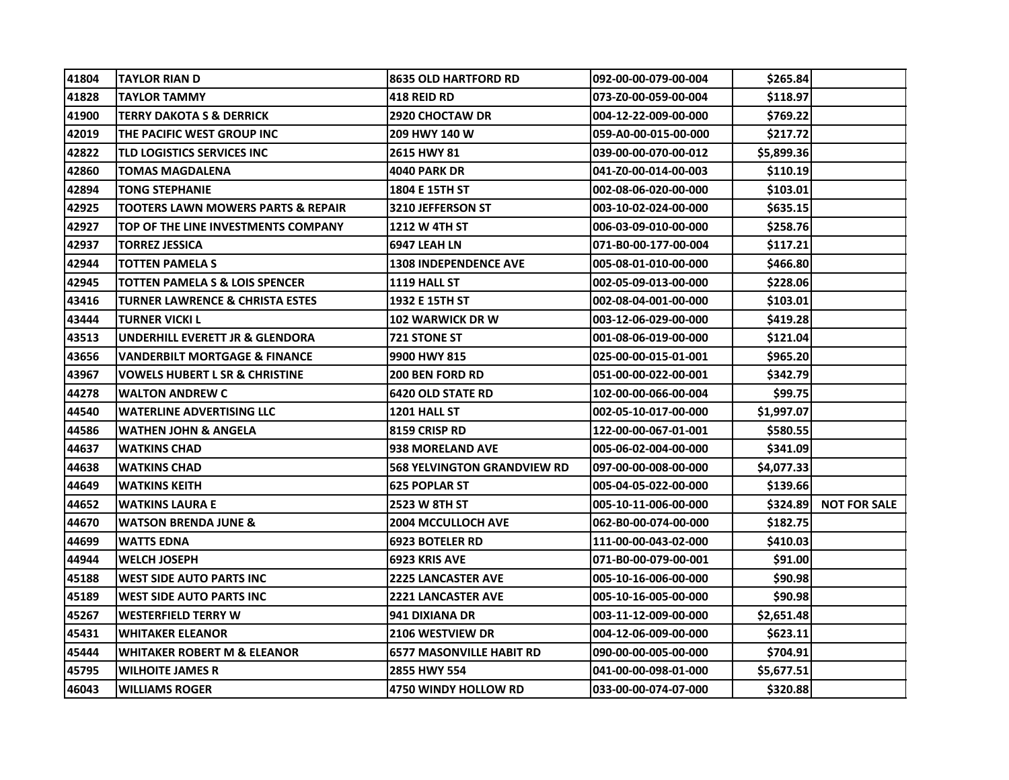| 41804 | <b>TAYLOR RIAN D</b>                   | <b>8635 OLD HARTFORD RD</b>        | 092-00-00-079-00-004 | \$265.84   |                     |
|-------|----------------------------------------|------------------------------------|----------------------|------------|---------------------|
| 41828 | TAYLOR TAMMY                           | 418 REID RD                        | 073-Z0-00-059-00-004 | \$118.97   |                     |
| 41900 | TERRY DAKOTA S & DERRICK               | <b>2920 CHOCTAW DR</b>             | 004-12-22-009-00-000 | \$769.22   |                     |
| 42019 | THE PACIFIC WEST GROUP INC             | 209 HWY 140 W                      | 059-A0-00-015-00-000 | \$217.72   |                     |
| 42822 | TLD LOGISTICS SERVICES INC             | 2615 HWY 81                        | 039-00-00-070-00-012 | \$5,899.36 |                     |
| 42860 | TOMAS MAGDALENA                        | <b>4040 PARK DR</b>                | 041-Z0-00-014-00-003 | \$110.19   |                     |
| 42894 | <b>TONG STEPHANIE</b>                  | 1804 E 15TH ST                     | 002-08-06-020-00-000 | \$103.01   |                     |
| 42925 | TOOTERS LAWN MOWERS PARTS & REPAIR     | <b>3210 JEFFERSON ST</b>           | 003-10-02-024-00-000 | \$635.15   |                     |
| 42927 | TOP OF THE LINE INVESTMENTS COMPANY    | 1212 W 4TH ST                      | 006-03-09-010-00-000 | \$258.76   |                     |
| 42937 | TORREZ JESSICA                         | <b>6947 LEAH LN</b>                | 071-B0-00-177-00-004 | \$117.21   |                     |
| 42944 | TOTTEN PAMELA S                        | <b>1308 INDEPENDENCE AVE</b>       | 005-08-01-010-00-000 | \$466.80   |                     |
| 42945 | TOTTEN PAMELA S & LOIS SPENCER         | 1119 HALL ST                       | 002-05-09-013-00-000 | \$228.06   |                     |
| 43416 | TURNER LAWRENCE & CHRISTA ESTES        | 1932 E 15TH ST                     | 002-08-04-001-00-000 | \$103.01   |                     |
| 43444 | TURNER VICKI L                         | <b>102 WARWICK DR W</b>            | 003-12-06-029-00-000 | \$419.28   |                     |
| 43513 | UNDERHILL EVERETT JR & GLENDORA        | <b>721 STONE ST</b>                | 001-08-06-019-00-000 | \$121.04   |                     |
| 43656 | VANDERBILT MORTGAGE & FINANCE          | 9900 HWY 815                       | 025-00-00-015-01-001 | \$965.20   |                     |
| 43967 | VOWELS HUBERT L SR & CHRISTINE         | <b>200 BEN FORD RD</b>             | 051-00-00-022-00-001 | \$342.79   |                     |
| 44278 | <b>WALTON ANDREW C</b>                 | <b>6420 OLD STATE RD</b>           | 102-00-00-066-00-004 | \$99.75    |                     |
| 44540 | <b>WATERLINE ADVERTISING LLC</b>       | 1201 HALL ST                       | 002-05-10-017-00-000 | \$1,997.07 |                     |
| 44586 | WATHEN JOHN & ANGELA                   | 8159 CRISP RD                      | 122-00-00-067-01-001 | \$580.55   |                     |
| 44637 | <b>WATKINS CHAD</b>                    | <b>938 MORELAND AVE</b>            | 005-06-02-004-00-000 | \$341.09   |                     |
| 44638 | <b>WATKINS CHAD</b>                    | <b>568 YELVINGTON GRANDVIEW RD</b> | 097-00-00-008-00-000 | \$4,077.33 |                     |
| 44649 | <b>WATKINS KEITH</b>                   | <b>625 POPLAR ST</b>               | 005-04-05-022-00-000 | \$139.66   |                     |
| 44652 | <b>WATKINS LAURA E</b>                 | 2523 W 8TH ST                      | 005-10-11-006-00-000 | \$324.89   | <b>NOT FOR SALE</b> |
| 44670 | <b>WATSON BRENDA JUNE &amp;</b>        | <b>2004 MCCULLOCH AVE</b>          | 062-B0-00-074-00-000 | \$182.75   |                     |
| 44699 | <b>WATTS EDNA</b>                      | <b>6923 BOTELER RD</b>             | 111-00-00-043-02-000 | \$410.03   |                     |
| 44944 | <b>WELCH JOSEPH</b>                    | 6923 KRIS AVE                      | 071-B0-00-079-00-001 | \$91.00    |                     |
| 45188 | <b>WEST SIDE AUTO PARTS INC</b>        | <b>2225 LANCASTER AVE</b>          | 005-10-16-006-00-000 | \$90.98    |                     |
| 45189 | <b>WEST SIDE AUTO PARTS INC</b>        | <b>2221 LANCASTER AVE</b>          | 005-10-16-005-00-000 | \$90.98    |                     |
| 45267 | <b>WESTERFIELD TERRY W</b>             | 941 DIXIANA DR                     | 003-11-12-009-00-000 | \$2,651.48 |                     |
| 45431 | <b>WHITAKER ELEANOR</b>                | <b>2106 WESTVIEW DR</b>            | 004-12-06-009-00-000 | \$623.11   |                     |
| 45444 | <b>WHITAKER ROBERT M &amp; ELEANOR</b> | <b>6577 MASONVILLE HABIT RD</b>    | 090-00-00-005-00-000 | \$704.91   |                     |
| 45795 | <b>WILHOITE JAMES R</b>                | 2855 HWY 554                       | 041-00-00-098-01-000 | \$5,677.51 |                     |
| 46043 | <b>WILLIAMS ROGER</b>                  | 4750 WINDY HOLLOW RD               | 033-00-00-074-07-000 | \$320.88   |                     |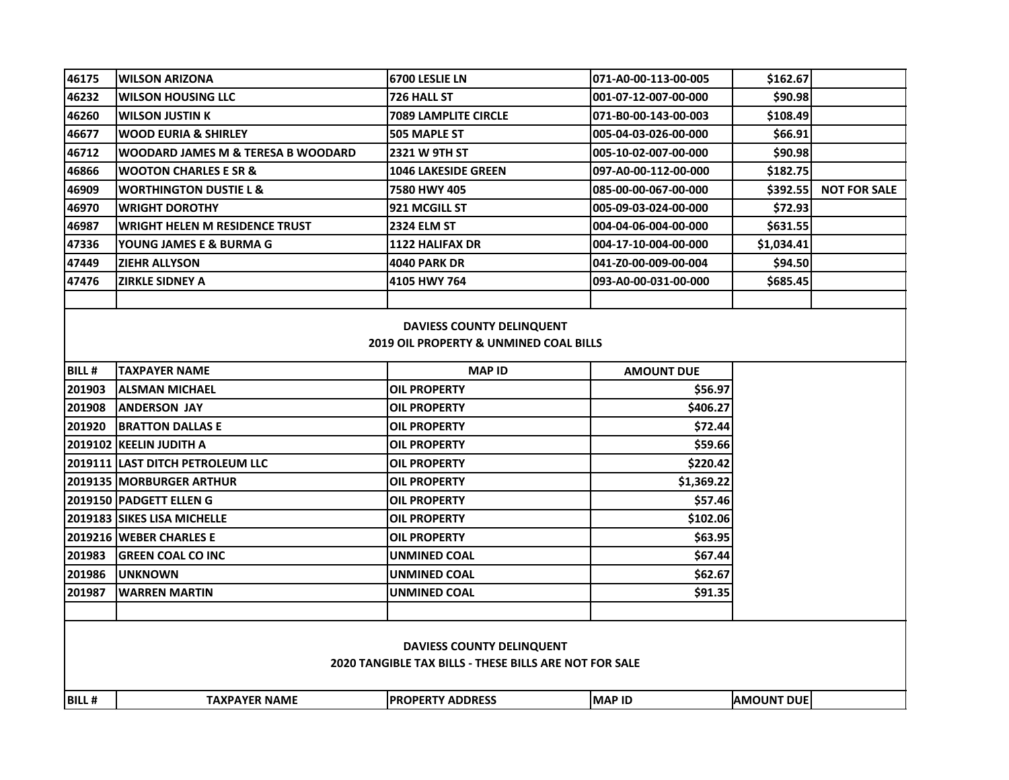| 46175                                                                                      | <b>WILSON ARIZONA</b>                         | <b>6700 LESLIE LN</b>       | 071-A0-00-113-00-005 | \$162.67          |                     |  |  |
|--------------------------------------------------------------------------------------------|-----------------------------------------------|-----------------------------|----------------------|-------------------|---------------------|--|--|
| 46232                                                                                      | WILSON HOUSING LLC                            | 726 HALL ST                 | 001-07-12-007-00-000 | \$90.98           |                     |  |  |
| 46260                                                                                      | <b>WILSON JUSTIN K</b>                        | <b>7089 LAMPLITE CIRCLE</b> | 071-B0-00-143-00-003 | \$108.49          |                     |  |  |
| 46677                                                                                      | <b>WOOD EURIA &amp; SHIRLEY</b>               | 505 MAPLE ST                | 005-04-03-026-00-000 | \$66.91           |                     |  |  |
| 46712                                                                                      | <b>WOODARD JAMES M &amp; TERESA B WOODARD</b> | 2321 W 9TH ST               | 005-10-02-007-00-000 | \$90.98           |                     |  |  |
| 46866                                                                                      | <b>WOOTON CHARLES E SR &amp;</b>              | <b>1046 LAKESIDE GREEN</b>  | 097-A0-00-112-00-000 | \$182.75          |                     |  |  |
| 46909                                                                                      | <b>WORTHINGTON DUSTIE L &amp;</b>             | 7580 HWY 405                | 085-00-00-067-00-000 | \$392.55          | <b>NOT FOR SALE</b> |  |  |
| 46970                                                                                      | <b>WRIGHT DOROTHY</b>                         | 921 MCGILL ST               | 005-09-03-024-00-000 | \$72.93           |                     |  |  |
| 46987                                                                                      | <b>WRIGHT HELEN M RESIDENCE TRUST</b>         | <b>2324 ELM ST</b>          | 004-04-06-004-00-000 | \$631.55          |                     |  |  |
| 47336                                                                                      | YOUNG JAMES E & BURMA G                       | <b>1122 HALIFAX DR</b>      | 004-17-10-004-00-000 | \$1,034.41        |                     |  |  |
| 47449                                                                                      | <b>ZIEHR ALLYSON</b>                          | <b>4040 PARK DR</b>         | 041-Z0-00-009-00-004 | \$94.50           |                     |  |  |
| 47476                                                                                      | <b>ZIRKLE SIDNEY A</b>                        | 4105 HWY 764                | 093-A0-00-031-00-000 | \$685.45          |                     |  |  |
|                                                                                            |                                               |                             |                      |                   |                     |  |  |
| DAVIESS COUNTY DELINQUENT<br><b>2019 OIL PROPERTY &amp; UNMINED COAL BILLS</b>             |                                               |                             |                      |                   |                     |  |  |
| <b>BILL#</b>                                                                               | <b>TAXPAYER NAME</b>                          | <b>MAP ID</b>               | <b>AMOUNT DUE</b>    |                   |                     |  |  |
| 201903                                                                                     | <b>ALSMAN MICHAEL</b>                         | <b>OIL PROPERTY</b>         | \$56.97              |                   |                     |  |  |
| 201908                                                                                     | <b>ANDERSON JAY</b>                           | <b>OIL PROPERTY</b>         | \$406.27             |                   |                     |  |  |
| 201920                                                                                     | <b>BRATTON DALLAS E</b>                       | <b>OIL PROPERTY</b>         | \$72.44              |                   |                     |  |  |
|                                                                                            | 2019102   KEELIN JUDITH A                     | <b>OIL PROPERTY</b>         | \$59.66              |                   |                     |  |  |
|                                                                                            | 2019111  LAST DITCH PETROLEUM LLC             | <b>OIL PROPERTY</b>         | \$220.42             |                   |                     |  |  |
|                                                                                            | 2019135  MORBURGER ARTHUR                     | <b>OIL PROPERTY</b>         | \$1,369.22           |                   |                     |  |  |
|                                                                                            | 2019150  PADGETT ELLEN G                      | <b>OIL PROPERTY</b>         | \$57.46              |                   |                     |  |  |
|                                                                                            | 2019183 SIKES LISA MICHELLE                   | OIL PROPERTY                | \$102.06             |                   |                     |  |  |
|                                                                                            | 2019216 WEBER CHARLES E                       | <b>OIL PROPERTY</b>         | \$63.95              |                   |                     |  |  |
| 201983                                                                                     | <b>GREEN COAL CO INC</b>                      | UNMINED COAL                | \$67.44              |                   |                     |  |  |
| 201986                                                                                     | <b>UNKNOWN</b>                                | UNMINED COAL                | \$62.67              |                   |                     |  |  |
| 201987                                                                                     | <b>WARREN MARTIN</b>                          | UNMINED COAL                | \$91.35              |                   |                     |  |  |
|                                                                                            |                                               |                             |                      |                   |                     |  |  |
| DAVIESS COUNTY DELINQUENT<br><b>2020 TANGIBLE TAX BILLS - THESE BILLS ARE NOT FOR SALE</b> |                                               |                             |                      |                   |                     |  |  |
| BILL #                                                                                     | <b>TAXPAYER NAME</b>                          | <b>PROPERTY ADDRESS</b>     | <b>MAP ID</b>        | <b>AMOUNT DUE</b> |                     |  |  |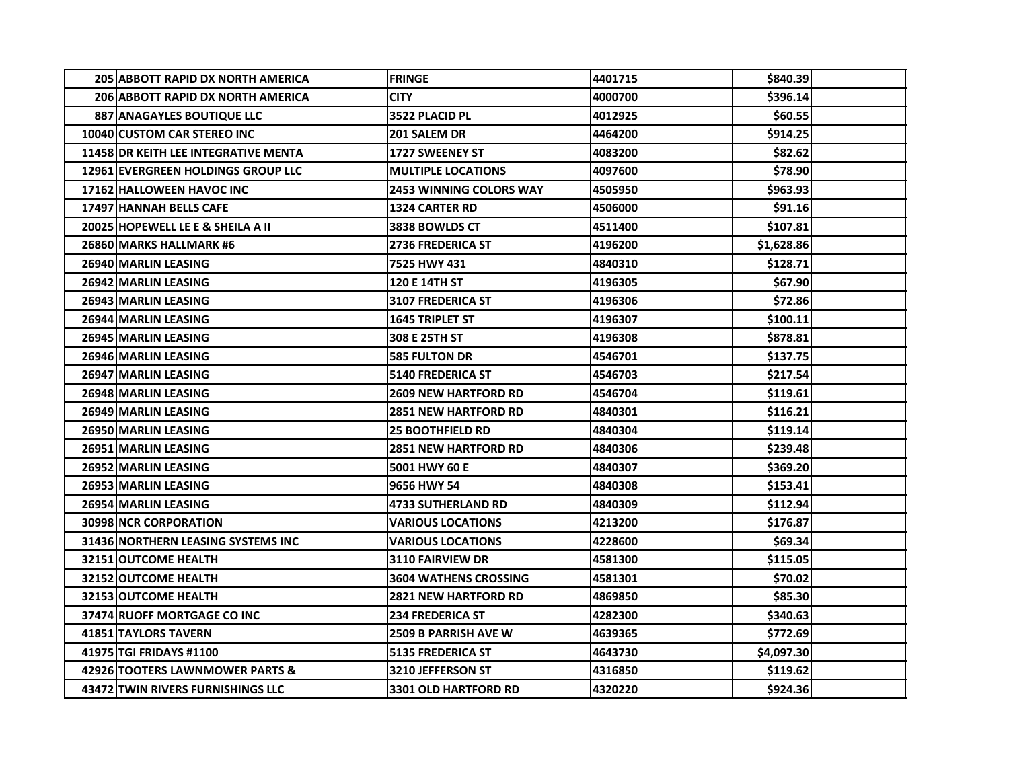| <b>205 ABBOTT RAPID DX NORTH AMERICA</b>    | <b>FRINGE</b>                  | 4401715 | \$840.39   |  |
|---------------------------------------------|--------------------------------|---------|------------|--|
| <b>206 ABBOTT RAPID DX NORTH AMERICA</b>    | <b>CITY</b>                    | 4000700 | \$396.14   |  |
| 887 ANAGAYLES BOUTIQUE LLC                  | 3522 PLACID PL                 | 4012925 | \$60.55    |  |
| 10040 CUSTOM CAR STEREO INC                 | 201 SALEM DR                   | 4464200 | \$914.25   |  |
| <b>11458 OR KEITH LEE INTEGRATIVE MENTA</b> | <b>1727 SWEENEY ST</b>         | 4083200 | \$82.62    |  |
| <b>12961 EVERGREEN HOLDINGS GROUP LLC</b>   | <b>MULTIPLE LOCATIONS</b>      | 4097600 | \$78.90    |  |
| <b>17162 HALLOWEEN HAVOC INC</b>            | <b>2453 WINNING COLORS WAY</b> | 4505950 | \$963.93   |  |
| <b>17497 HANNAH BELLS CAFE</b>              | <b>1324 CARTER RD</b>          | 4506000 | \$91.16    |  |
| 20025 HOPEWELL LE E & SHEILA A II           | 3838 BOWLDS CT                 | 4511400 | \$107.81   |  |
| 26860 MARKS HALLMARK #6                     | <b>2736 FREDERICA ST</b>       | 4196200 | \$1,628.86 |  |
| 26940 MARLIN LEASING                        | 7525 HWY 431                   | 4840310 | \$128.71   |  |
| 26942 MARLIN LEASING                        | <b>120 E 14TH ST</b>           | 4196305 | \$67.90    |  |
| 26943 MARLIN LEASING                        | <b>3107 FREDERICA ST</b>       | 4196306 | \$72.86    |  |
| 26944 MARLIN LEASING                        | <b>1645 TRIPLET ST</b>         | 4196307 | \$100.11   |  |
| 26945 MARLIN LEASING                        | 308 E 25TH ST                  | 4196308 | \$878.81   |  |
| 26946 MARLIN LEASING                        | <b>585 FULTON DR</b>           | 4546701 | \$137.75   |  |
| 26947 MARLIN LEASING                        | <b>5140 FREDERICA ST</b>       | 4546703 | \$217.54   |  |
| 26948 MARLIN LEASING                        | <b>2609 NEW HARTFORD RD</b>    | 4546704 | \$119.61   |  |
| 26949 MARLIN LEASING                        | <b>2851 NEW HARTFORD RD</b>    | 4840301 | \$116.21   |  |
| 26950 MARLIN LEASING                        | <b>25 BOOTHFIELD RD</b>        | 4840304 | \$119.14   |  |
| 26951 MARLIN LEASING                        | <b>2851 NEW HARTFORD RD</b>    | 4840306 | \$239.48   |  |
| 26952 MARLIN LEASING                        | 5001 HWY 60 E                  | 4840307 | \$369.20   |  |
| 26953 MARLIN LEASING                        | 9656 HWY 54                    | 4840308 | \$153.41   |  |
| 26954 MARLIN LEASING                        | <b>4733 SUTHERLAND RD</b>      | 4840309 | \$112.94   |  |
| <b>30998INCR CORPORATION</b>                | <b>VARIOUS LOCATIONS</b>       | 4213200 | \$176.87   |  |
| 31436 NORTHERN LEASING SYSTEMS INC          | <b>VARIOUS LOCATIONS</b>       | 4228600 | \$69.34    |  |
| 32151 OUTCOME HEALTH                        | <b>3110 FAIRVIEW DR</b>        | 4581300 | \$115.05   |  |
| 32152 OUTCOME HEALTH                        | <b>3604 WATHENS CROSSING</b>   | 4581301 | \$70.02    |  |
| 32153 OUTCOME HEALTH                        | <b>2821 NEW HARTFORD RD</b>    | 4869850 | \$85.30    |  |
| 37474 RUOFF MORTGAGE CO INC                 | <b>234 FREDERICA ST</b>        | 4282300 | \$340.63   |  |
| <b>41851 TAYLORS TAVERN</b>                 | <b>2509 B PARRISH AVE W</b>    | 4639365 | \$772.69   |  |
| 41975 TGI FRIDAYS #1100                     | 5135 FREDERICA ST              | 4643730 | 54,097.30  |  |
| 42926 TOOTERS LAWNMOWER PARTS &             | <b>3210 JEFFERSON ST</b>       | 4316850 | \$119.62   |  |
| 43472 TWIN RIVERS FURNISHINGS LLC           | <b>3301 OLD HARTFORD RD</b>    | 4320220 | \$924.36   |  |